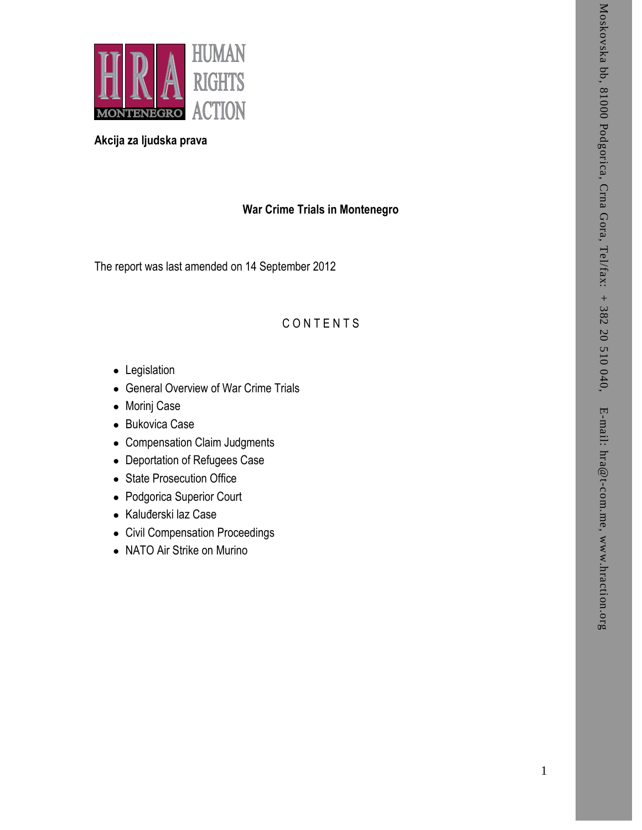

# **Akcija za ljudska prava**

# **War Crime Trials in Montenegro**

The report was last amended on 14 September 201 2

# **CONTENTS**

- Legislation
- General Overview of War Crime Trials
- Morinj Case
- Bukovica Case
- Compensation Claim Judgments
- Deportation of Refugees Case
- State Prosecution Office
- Podgorica Superior Court
- Kaluđerski laz Case
- Civil Compensation Proceedings
- NATO Air Strike on Murino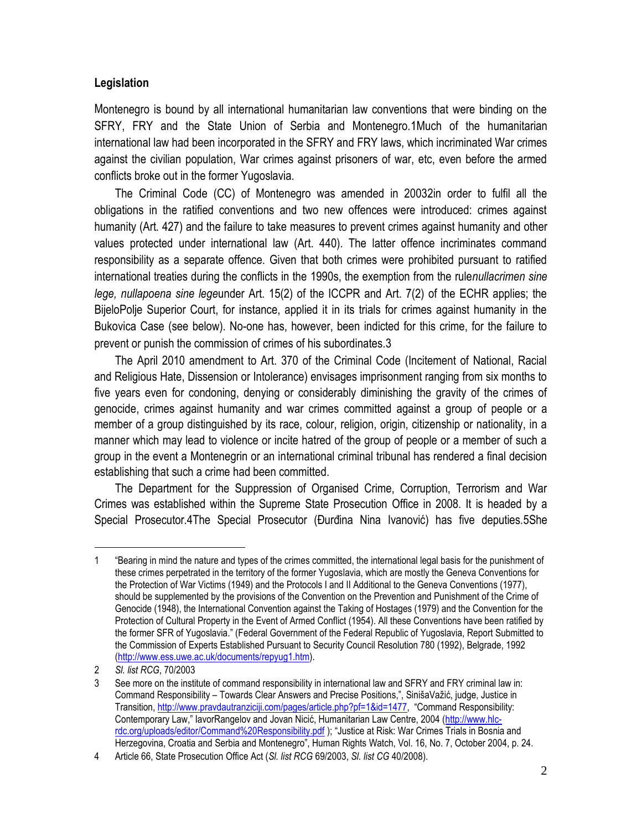## **Legislation**

Montenegro is bound by all international humanitarian law conventions that were binding on the SFRY, FRY and the State Union of Serbia and Montenegro.1Much of the humanitarian international law had been incorporated in the SFRY and FRY laws, which incriminated War crimes against the civilian population, War crimes against prisoners of war, etc, even before the armed conflicts broke out in the former Yugoslavia.

The Criminal Code (CC) of Montenegro was amended in 20032in order to fulfil all the obligations in the ratified conventions and two new offences were introduced: crimes against humanity (Art. 427) and the failure to take measures to prevent crimes against humanity and other values protected under international law (Art. 440). The latter offence incriminates command responsibility as a separate offence. Given that both crimes were prohibited pursuant to ratified international treaties during the conflicts in the 1990s, the exemption from the rule*nullacrimen sine lege, nullapoena sine lege*under Art. 15(2) of the ICCPR and Art. 7(2) of the ECHR applies; the BijeloPolje Superior Court, for instance, applied it in its trials for crimes against humanity in the Bukovica Case (see below). No-one has, however, been indicted for this crime, for the failure to prevent or punish the commission of crimes of his subordinates.3

The April 2010 amendment to Art. 370 of the Criminal Code (Incitement of National, Racial and Religious Hate, Dissension or Intolerance) envisages imprisonment ranging from six months to five years even for condoning, denying or considerably diminishing the gravity of the crimes of genocide, crimes against humanity and war crimes committed against a group of people or a member of a group distinguished by its race, colour, religion, origin, citizenship or nationality, in a manner which may lead to violence or incite hatred of the group of people or a member of such a group in the event a Montenegrin or an international criminal tribunal has rendered a final decision establishing that such a crime had been committed.

The Department for the Suppression of Organised Crime, Corruption, Terrorism and War Crimes was established within the Supreme State Prosecution Office in 2008. It is headed by a Special Prosecutor.4The Special Prosecutor (Đurđina Nina Ivanović) has five deputies.5She

<sup>1</sup> "Bearing in mind the nature and types of the crimes committed, the international legal basis for the punishment of these crimes perpetrated in the territory of the former Yugoslavia, which are mostly the Geneva Conventions for the Protection of War Victims (1949) and the Protocols I and II Additional to the Geneva Conventions (1977), should be supplemented by the provisions of the Convention on the Prevention and Punishment of the Crime of Genocide (1948), the International Convention against the Taking of Hostages (1979) and the Convention for the Protection of Cultural Property in the Event of Armed Conflict (1954). All these Conventions have been ratified by the former SFR of Yugoslavia." (Federal Government of the Federal Republic of Yugoslavia, Report Submitted to the Commission of Experts Established Pursuant to Security Council Resolution 780 (1992), Belgrade, 1992 [\(http://www.ess.uwe.ac.uk/documents/repyug1.htm\)](http://www.ess.uwe.ac.uk/documents/repyug1.htm).

<sup>2</sup> *Sl. list RCG*, 70/2003

<sup>3</sup> See more on the institute of command responsibility in international law and SFRY and FRY criminal law in: Command Responsibility – Towards Clear Answers and Precise Positions,", SinišaVažić, judge, Justice in Transition[, http://www.pravdautranziciji.com/pages/article.php?pf=1&id=1477,](http://www.pravdautranziciji.com/pages/article.php?pf=1&id=1477) "Command Responsibility: Contemporary Law," IavorRangelov and Jovan Nicić, Humanitarian Law Centre, 2004 ([http://www.hlc](http://www.hlc-rdc.org/uploads/editor/Command%20Responsibility.pdf)[rdc.org/uploads/editor/Command%20Responsibility.pdf](http://www.hlc-rdc.org/uploads/editor/Command%20Responsibility.pdf) ); "Justice at Risk: War Crimes Trials in Bosnia and Herzegovina, Croatia and Serbia and Montenegro", Human Rights Watch, Vol. 16, No. 7, October 2004, p. 24.

<sup>4</sup> Article 66, State Prosecution Office Act (*Sl. list RCG* 69/2003, *Sl. list CG* 40/2008).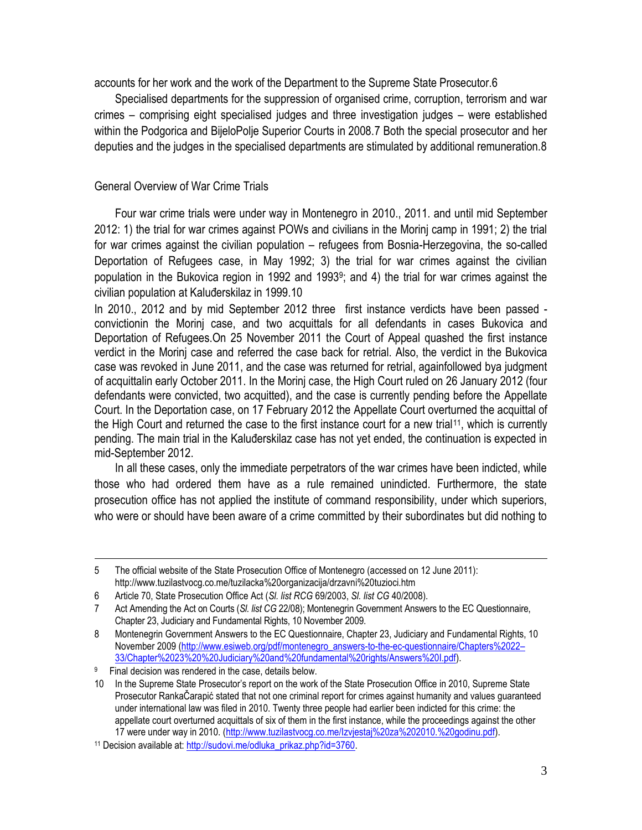accounts for her work and the work of the Department to the Supreme State Prosecutor.6

Specialised departments for the suppression of organised crime, corruption, terrorism and war crimes – comprising eight specialised judges and three investigation judges – were established within the Podgorica and BijeloPolje Superior Courts in 2008.7 Both the special prosecutor and her deputies and the judges in the specialised departments are stimulated by additional remuneration.8

## General Overview of War Crime Trials

Four war crime trials were under way in Montenegro in 2010., 2011. and until mid September 2012: 1) the trial for war crimes against POWs and civilians in the Morinj camp in 1991; 2) the trial for war crimes against the civilian population – refugees from Bosnia-Herzegovina, the so-called Deportation of Refugees case, in May 1992; 3) the trial for war crimes against the civilian population in the Bukovica region in 1992 and 1993<sup>9</sup> ; and 4) the trial for war crimes against the civilian population at Kaluđerskilaz in 1999.10

In 2010., 2012 and by mid September 2012 three first instance verdicts have been passed convictionin the Morinj case, and two acquittals for all defendants in cases Bukovica and Deportation of Refugees.On 25 November 2011 the Court of Appeal quashed the first instance verdict in the Morinj case and referred the case back for retrial. Also, the verdict in the Bukovica case was revoked in June 2011, and the case was returned for retrial, againfollowed bya judgment of acquittalin early October 2011. In the Morinj case, the High Court ruled on 26 January 2012 (four defendants were convicted, two acquitted), and the case is currently pending before the Appellate Court. In the Deportation case, on 17 February 2012 the Appellate Court overturned the acquittal of the High Court and returned the case to the first instance court for a new trial<sup>11</sup>, which is currently pending. The main trial in the Kaluđerskilaz case has not yet ended, the continuation is expected in mid-September 2012.

In all these cases, only the immediate perpetrators of the war crimes have been indicted, while those who had ordered them have as a rule remained unindicted. Furthermore, the state prosecution office has not applied the institute of command responsibility, under which superiors, who were or should have been aware of a crime committed by their subordinates but did nothing to

<sup>5</sup> The official website of the State Prosecution Office of Montenegro (accessed on 12 June 2011): http://www.tuzilastvocg.co.me/tuzilacka%20organizacija/drzavni%20tuzioci.htm

<sup>6</sup> Article 70, State Prosecution Office Act (*Sl. list RCG* 69/2003, *Sl. list CG* 40/2008).

<sup>7</sup> Act Amending the Act on Courts (*Sl. list CG* 22/08); Montenegrin Government Answers to the EC Questionnaire, Chapter 23, Judiciary and Fundamental Rights, 10 November 2009.

<sup>8</sup> Montenegrin Government Answers to the EC Questionnaire, Chapter 23, Judiciary and Fundamental Rights, 10 November 2009 [\(http://www.esiweb.org/pdf/montenegro\\_answers-to-the-ec-questionnaire/Chapters%2022](http://www.esiweb.org/pdf/montenegro_answers-to-the-ec-questionnaire/Chapters%2022–33/Chapter%2023%20%20Judiciary%20and%20fundamental%20rights/Answers%20I.pdf)– [33/Chapter%2023%20%20Judiciary%20and%20fundamental%20rights/Answers%20I.pdf\).](http://www.esiweb.org/pdf/montenegro_answers-to-the-ec-questionnaire/Chapters%2022–33/Chapter%2023%20%20Judiciary%20and%20fundamental%20rights/Answers%20I.pdf)

<sup>9</sup> Final decision was rendered in the case, details below.

<sup>10</sup> In the Supreme State Prosecutor's report on the work of the State Prosecution Office in 2010, Supreme State Prosecutor RankaČarapić stated that not one criminal report for crimes against humanity and values guaranteed under international law was filed in 2010. Twenty three people had earlier been indicted for this crime: the appellate court overturned acquittals of six of them in the first instance, while the proceedings against the other 17 were under way in 2010. [\(http://www.tuzilastvocg.co.me/Izvjestaj%20za%202010.%20godinu.pdf\)](http://www.tuzilastvocg.co.me/Izvjestaj%20za%202010.%20godinu.pdf).

<sup>&</sup>lt;sup>11</sup> Decision available at: [http://sudovi.me/odluka\\_prikaz.php?id=3760.](http://sudovi.me/odluka_prikaz.php?id=3760)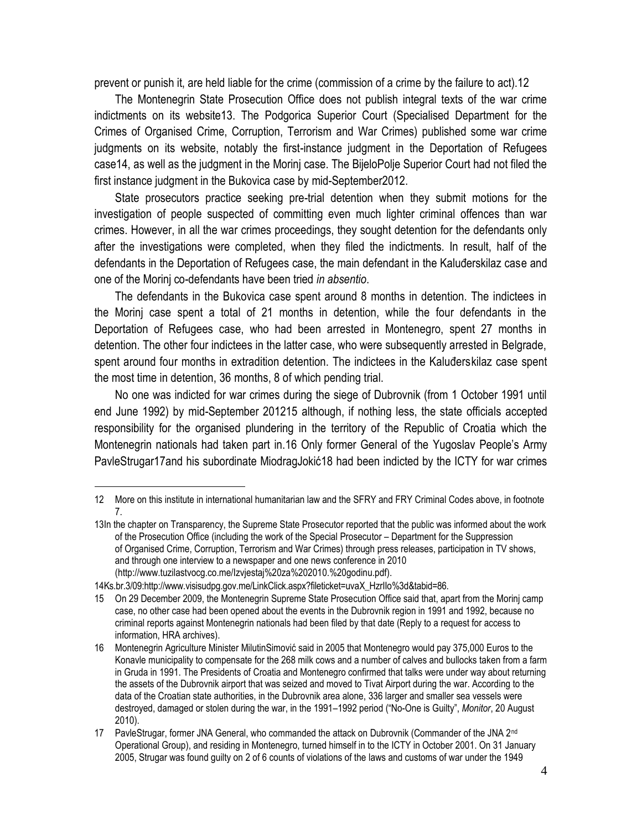prevent or punish it, are held liable for the crime (commission of a crime by the failure to act).12

The Montenegrin State Prosecution Office does not publish integral texts of the war crime indictments on its website13. The Podgorica Superior Court (Specialised Department for the Crimes of Organised Crime, Corruption, Terrorism and War Crimes) published some war crime judgments on its website, notably the first-instance judgment in the Deportation of Refugees case14, as well as the judgment in the Morinj case. The BijeloPolje Superior Court had not filed the first instance judgment in the Bukovica case by mid-September2012.

State prosecutors practice seeking pre-trial detention when they submit motions for the investigation of people suspected of committing even much lighter criminal offences than war crimes. However, in all the war crimes proceedings, they sought detention for the defendants only after the investigations were completed, when they filed the indictments. In result, half of the defendants in the Deportation of Refugees case, the main defendant in the Kaluđerskilaz case and one of the Morinj co-defendants have been tried *in absentio*.

The defendants in the Bukovica case spent around 8 months in detention. The indictees in the Morinj case spent a total of 21 months in detention, while the four defendants in the Deportation of Refugees case, who had been arrested in Montenegro, spent 27 months in detention. The other four indictees in the latter case, who were subsequently arrested in Belgrade, spent around four months in extradition detention. The indictees in the Kaluđerskilaz case spent the most time in detention, 36 months, 8 of which pending trial.

No one was indicted for war crimes during the siege of Dubrovnik (from 1 October 1991 until end June 1992) by mid-September 201215 although, if nothing less, the state officials accepted responsibility for the organised plundering in the territory of the Republic of Croatia which the Montenegrin nationals had taken part in.16 Only former General of the Yugoslav People's Army PavleStrugar17and his subordinate MiodragJokić18 had been indicted by the ICTY for war crimes

<sup>12</sup> More on this institute in international humanitarian law and the SFRY and FRY Criminal Codes above, in footnote 7.

<sup>13</sup>In the chapter on Transparency, the Supreme State Prosecutor reported that the public was informed about the work of the Prosecution Office (including the work of the Special Prosecutor – Department for the Suppression of Organised Crime, Corruption, Terrorism and War Crimes) through press releases, participation in TV shows, and through one interview to a newspaper and one news conference in 2010 (http://www.tuzilastvocg.co.me/Izvjestaj%20za%202010.%20godinu.pdf).

<sup>14</sup>Ks.br.3/09:http://www.visisudpg.gov.me/LinkClick.aspx?fileticket=uvaX\_HzrIIo%3d&tabid=86.

<sup>15</sup> On 29 December 2009, the Montenegrin Supreme State Prosecution Office said that, apart from the Morinj camp case, no other case had been opened about the events in the Dubrovnik region in 1991 and 1992, because no criminal reports against Montenegrin nationals had been filed by that date (Reply to a request for access to information, HRA archives).

<sup>16</sup> Montenegrin Agriculture Minister MilutinSimović said in 2005 that Montenegro would pay 375,000 Euros to the Konavle municipality to compensate for the 268 milk cows and a number of calves and bullocks taken from a farm in Gruda in 1991. The Presidents of Croatia and Montenegro confirmed that talks were under way about returning the assets of the Dubrovnik airport that was seized and moved to Tivat Airport during the war. According to the data of the Croatian state authorities, in the Dubrovnik area alone, 336 larger and smaller sea vessels were destroyed, damaged or stolen during the war, in the 1991–1992 period ("No-One is Guilty", *Monitor*, 20 August 2010).

<sup>17</sup> PavleStrugar, former JNA General, who commanded the attack on Dubrovnik (Commander of the JNA 2<sup>nd</sup> Operational Group), and residing in Montenegro, turned himself in to the ICTY in October 2001. On 31 January 2005, Strugar was found guilty on 2 of 6 counts of violations of the laws and customs of war under the 1949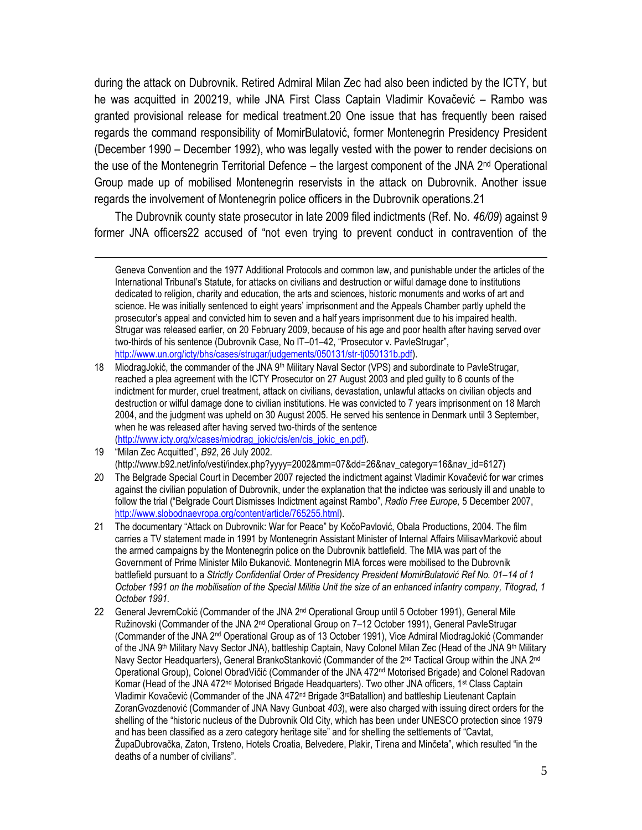during the attack on Dubrovnik. Retired Admiral Milan Zec had also been indicted by the ICTY, but he was acquitted in 200219, while JNA First Class Captain Vladimir Kovačević – Rambo was granted provisional release for medical treatment.20 One issue that has frequently been raised regards the command responsibility of MomirBulatović, former Montenegrin Presidency President (December 1990 – December 1992), who was legally vested with the power to render decisions on the use of the Montenegrin Territorial Defence – the largest component of the JNA 2<sup>nd</sup> Operational Group made up of mobilised Montenegrin reservists in the attack on Dubrovnik. Another issue regards the involvement of Montenegrin police officers in the Dubrovnik operations.21

The Dubrovnik county state prosecutor in late 2009 filed indictments (Ref. No*. 46/09*) against 9 former JNA officers22 accused of "not even trying to prevent conduct in contravention of the

Geneva Convention and the 1977 Additional Protocols and common law, and punishable under the articles of the International Tribunal's Statute, for attacks on civilians and destruction or wilful damage done to institutions dedicated to religion, charity and education, the arts and sciences, historic monuments and works of art and science. He was initially sentenced to eight years' imprisonment and the Appeals Chamber partly upheld the prosecutor's appeal and convicted him to seven and a half years imprisonment due to his impaired health. Strugar was released earlier, on 20 February 2009, because of his age and poor health after having served over two-thirds of his sentence (Dubrovnik Case, No IT–01–42, "Prosecutor v. PavleStrugar", [http://www.un.org/icty/bhs/cases/strugar/judgements/050131/str-tj050131b.pdf\)](http://www.un.org/icty/bhs/cases/strugar/judgements/050131/str-tj050131b.pdf).

<sup>18</sup> MiodragJokić, the commander of the JNA 9<sup>th</sup> Military Naval Sector (VPS) and subordinate to PavleStrugar, reached a plea agreement with the ICTY Prosecutor on 27 August 2003 and pled guilty to 6 counts of the indictment for murder, cruel treatment, attack on civilians, devastation, unlawful attacks on civilian objects and destruction or wilful damage done to civilian institutions. He was convicted to 7 years imprisonment on 18 March 2004, and the judgment was upheld on 30 August 2005. He served his sentence in Denmark until 3 September, when he was released after having served two-thirds of the sentence [\(http://www.icty.org/x/cases/miodrag\\_jokic/cis/en/cis\\_jokic\\_en.pdf\)](http://www.icty.org/x/cases/miodrag_jokic/cis/en/cis_jokic_en.pdf).

<sup>19</sup> "Milan Zec Acquitted", *B92*, 26 July 2002. (http://www.b92.net/info/vesti/index.php?yyyy=2002&mm=07&dd=26&nav\_category=16&nav\_id=6127)

<sup>20</sup> The Belgrade Special Court in December 2007 rejected the indictment against Vladimir Kovačević for war crimes against the civilian population of Dubrovnik, under the explanation that the indictee was seriously ill and unable to follow the trial ("Belgrade Court Dismisses Indictment against Rambo", *Radio Free Europe,* 5 December 2007, [http://www.slobodnaevropa.org/content/article/765255.html\)](http://www.slobodnaevropa.org/content/article/765255.html).

<sup>21</sup> The documentary "Attack on Dubrovnik: War for Peace" by KočoPavlović, Obala Productions, 2004. The film carries a TV statement made in 1991 by Montenegrin Assistant Minister of Internal Affairs MilisavMarković about the armed campaigns by the Montenegrin police on the Dubrovnik battlefield. The MIA was part of the Government of Prime Minister Milo Đukanović. Montenegrin MIA forces were mobilised to the Dubrovnik battlefield pursuant to a *Strictly Confidential Order of Presidency President MomirBulatović Ref No. 01–14 of 1 October 1991 on the mobilisation of the Special Militia Unit the size of an enhanced infantry company, Titograd, 1 October 1991.*

<sup>22</sup> General JevremCokić (Commander of the JNA 2<sup>nd</sup> Operational Group until 5 October 1991), General Mile Ružinovski (Commander of the JNA 2<sup>nd</sup> Operational Group on 7–12 October 1991), General PavleStrugar (Commander of the JNA 2nd Operational Group as of 13 October 1991), Vice Admiral MiodragJokić (Commander of the JNA 9<sup>th</sup> Military Navy Sector JNA), battleship Captain, Navy Colonel Milan Zec (Head of the JNA 9<sup>th</sup> Military Navy Sector Headquarters), General BrankoStanković (Commander of the 2<sup>nd</sup> Tactical Group within the JNA 2<sup>nd</sup> Operational Group), Colonel ObradVičić (Commander of the JNA 472nd Motorised Brigade) and Colonel Radovan Komar (Head of the JNA 472<sup>nd</sup> Motorised Brigade Headquarters). Two other JNA officers, 1<sup>st</sup> Class Captain Vladimir Kovačević (Commander of the JNA 472<sup>nd</sup> Brigade 3<sup>rd</sup>Batallion) and battleship Lieutenant Captain ZoranGvozdenović (Commander of JNA Navy Gunboat *403*), were also charged with issuing direct orders for the shelling of the "historic nucleus of the Dubrovnik Old City, which has been under UNESCO protection since 1979 and has been classified as a zero category heritage site" and for shelling the settlements of "Cavtat, ŽupaDubrovačka, Zaton, Trsteno, Hotels Croatia, Belvedere, Plakir, Tirena and Minčeta", which resulted "in the deaths of a number of civilians".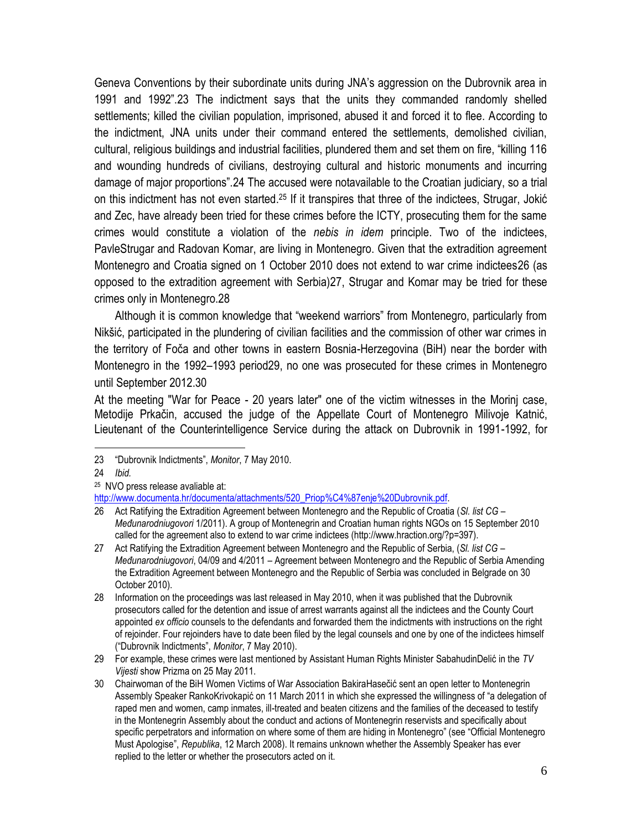Geneva Conventions by their subordinate units during JNA's aggression on the Dubrovnik area in 1991 and 1992".23 The indictment says that the units they commanded randomly shelled settlements; killed the civilian population, imprisoned, abused it and forced it to flee. According to the indictment, JNA units under their command entered the settlements, demolished civilian, cultural, religious buildings and industrial facilities, plundered them and set them on fire, "killing 116 and wounding hundreds of civilians, destroying cultural and historic monuments and incurring damage of major proportions".24 The accused were notavailable to the Croatian judiciary, so a trial on this indictment has not even started.<sup>25</sup> If it transpires that three of the indictees, Strugar, Jokić and Zec, have already been tried for these crimes before the ICTY, prosecuting them for the same crimes would constitute a violation of the *nebis in idem* principle. Two of the indictees, PavleStrugar and Radovan Komar, are living in Montenegro. Given that the extradition agreement Montenegro and Croatia signed on 1 October 2010 does not extend to war crime indictees26 (as opposed to the extradition agreement with Serbia)27, Strugar and Komar may be tried for these crimes only in Montenegro.28

Although it is common knowledge that "weekend warriors" from Montenegro, particularly from Nikšić, participated in the plundering of civilian facilities and the commission of other war crimes in the territory of Foča and other towns in eastern Bosnia-Herzegovina (BiH) near the border with Montenegro in the 1992–1993 period29, no one was prosecuted for these crimes in Montenegro until September 2012.30

At the meeting "War for Peace - 20 years later" one of the victim witnesses in the Morinj case, Metodije Prkačin, accused the judge of the Appellate Court of Montenegro Milivoje Katnić, Lieutenant of the Counterintelligence Service during the attack on Dubrovnik in 1991-1992, for

<sup>23</sup> "Dubrovnik Indictments", *Monitor*, 7 May 2010.

<sup>24</sup> *Ibid.*

<sup>25</sup> NVO press release avaliable at:

[http://www.documenta.hr/documenta/attachments/520\\_Priop%C4%87enje%20Dubrovnik.pdf.](http://www.documenta.hr/documenta/attachments/520_Priop%C4%87enje%20Dubrovnik.pdf)

<sup>26</sup> Act Ratifying the Extradition Agreement between Montenegro and the Republic of Croatia (*Sl. list CG – Međunarodniugovori* 1/2011). A group of Montenegrin and Croatian human rights NGOs on 15 September 2010 called for the agreement also to extend to war crime indictees (http://www.hraction.org/?p=397).

<sup>27</sup> Act Ratifying the Extradition Agreement between Montenegro and the Republic of Serbia, (*Sl. list CG – Međunarodniugovori*, 04/09 and 4/2011 – Agreement between Montenegro and the Republic of Serbia Amending the Extradition Agreement between Montenegro and the Republic of Serbia was concluded in Belgrade on 30 October 2010).

<sup>28</sup> Information on the proceedings was last released in May 2010, when it was published that the Dubrovnik prosecutors called for the detention and issue of arrest warrants against all the indictees and the County Court appointed *ex officio* counsels to the defendants and forwarded them the indictments with instructions on the right of rejoinder. Four rejoinders have to date been filed by the legal counsels and one by one of the indictees himself ("Dubrovnik Indictments", *Monitor*, 7 May 2010).

<sup>29</sup> For example, these crimes were last mentioned by Assistant Human Rights Minister SabahudinDelić in the *TV Vijesti* show Prizma on 25 May 2011.

<sup>30</sup> Chairwoman of the BiH Women Victims of War Association BakiraHasečić sent an open letter to Montenegrin Assembly Speaker RankoKrivokapić on 11 March 2011 in which she expressed the willingness of "a delegation of raped men and women, camp inmates, ill-treated and beaten citizens and the families of the deceased to testify in the Montenegrin Assembly about the conduct and actions of Montenegrin reservists and specifically about specific perpetrators and information on where some of them are hiding in Montenegro" (see "Official Montenegro Must Apologise", *Republika*, 12 March 2008). It remains unknown whether the Assembly Speaker has ever replied to the letter or whether the prosecutors acted on it.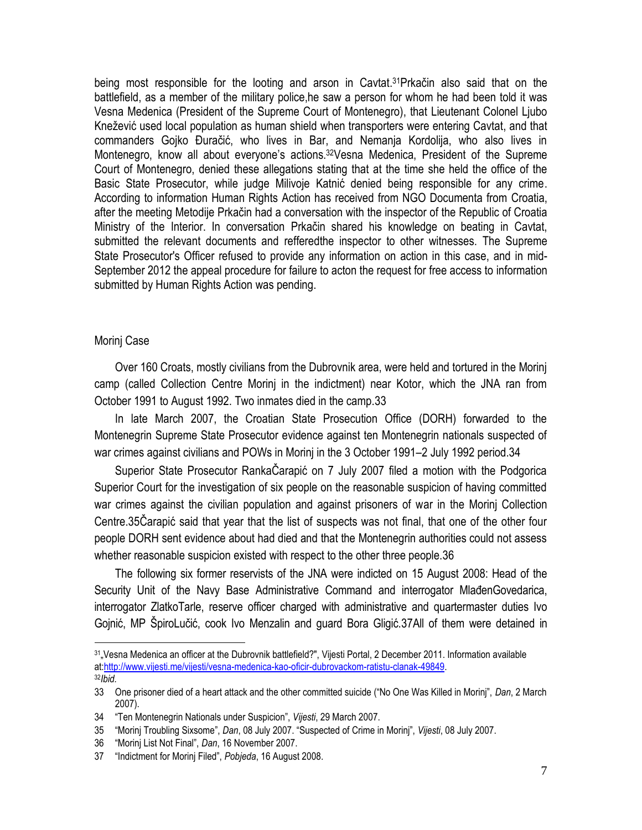being most responsible for the looting and arson in Cavtat. <sup>31</sup>Prkačin also said that on the battlefield, as a member of the military police,he saw a person for whom he had been told it was Vesna Medenica (President of the Supreme Court of Montenegro), that Lieutenant Colonel Ljubo Knežević used local population as human shield when transporters were entering Cavtat, and that commanders Gojko Đuračić, who lives in Bar, and Nemanja Kordolija, who also lives in Montenegro, know all about everyone's actions.<sup>32</sup>Vesna Medenica, President of the Supreme Court of Montenegro, denied these allegations stating that at the time she held the office of the Basic State Prosecutor, while judge Milivoje Katnić denied being responsible for any crime. According to information Human Rights Action has received from NGO Documenta from Croatia, after the meeting Metodije Prkačin had a conversation with the inspector of the Republic of Croatia Ministry of the Interior. In conversation Prkačin shared his knowledge on beating in Cavtat, submitted the relevant documents and refferedthe inspector to other witnesses. The Supreme State Prosecutor's Officer refused to provide any information on action in this case, and in mid-September 2012 the appeal procedure for failure to acton the request for free access to information submitted by Human Rights Action was pending.

#### Morinj Case

 $\overline{a}$ 

Over 160 Croats, mostly civilians from the Dubrovnik area, were held and tortured in the Morinj camp (called Collection Centre Morinj in the indictment) near Kotor, which the JNA ran from October 1991 to August 1992. Two inmates died in the camp.33

In late March 2007, the Croatian State Prosecution Office (DORH) forwarded to the Montenegrin Supreme State Prosecutor evidence against ten Montenegrin nationals suspected of war crimes against civilians and POWs in Morinj in the 3 October 1991–2 July 1992 period.34

Superior State Prosecutor RankaČarapić on 7 July 2007 filed a motion with the Podgorica Superior Court for the investigation of six people on the reasonable suspicion of having committed war crimes against the civilian population and against prisoners of war in the Morinj Collection Centre.35Čarapić said that year that the list of suspects was not final, that one of the other four people DORH sent evidence about had died and that the Montenegrin authorities could not assess whether reasonable suspicion existed with respect to the other three people.36

The following six former reservists of the JNA were indicted on 15 August 2008: Head of the Security Unit of the Navy Base Administrative Command and interrogator MlađenGovedarica, interrogator ZlatkoTarle, reserve officer charged with administrative and quartermaster duties Ivo Gojnić, MP ŠpiroLučić, cook Ivo Menzalin and guard Bora Gligić.37All of them were detained in

<sup>31</sup>"Vesna Medenica an officer at the Dubrovnik battlefield?", Vijesti Portal, 2 December 2011. Information available at[:http://www.vijesti.me/vijesti/vesna-medenica-kao-oficir-dubrovackom-ratistu-clanak-49849.](http://www.vijesti.me/vijesti/vesna-medenica-kao-oficir-dubrovackom-ratistu-clanak-49849) <sup>32</sup>*Ibid.*

<sup>33</sup> One prisoner died of a heart attack and the other committed suicide ("No One Was Killed in Morinj", *Dan*, 2 March 2007).

<sup>34</sup> "Ten Montenegrin Nationals under Suspicion", *Vijesti*, 29 March 2007.

<sup>35</sup> "Morinj Troubling Sixsome", *Dan*, 08 July 2007. "Suspected of Crime in Morinj", *Vijesti*, 08 July 2007.

<sup>36</sup> "Morinj List Not Final", *Dan*, 16 November 2007.

<sup>37</sup> "Indictment for Morinj Filed", *Pobjeda*, 16 August 2008.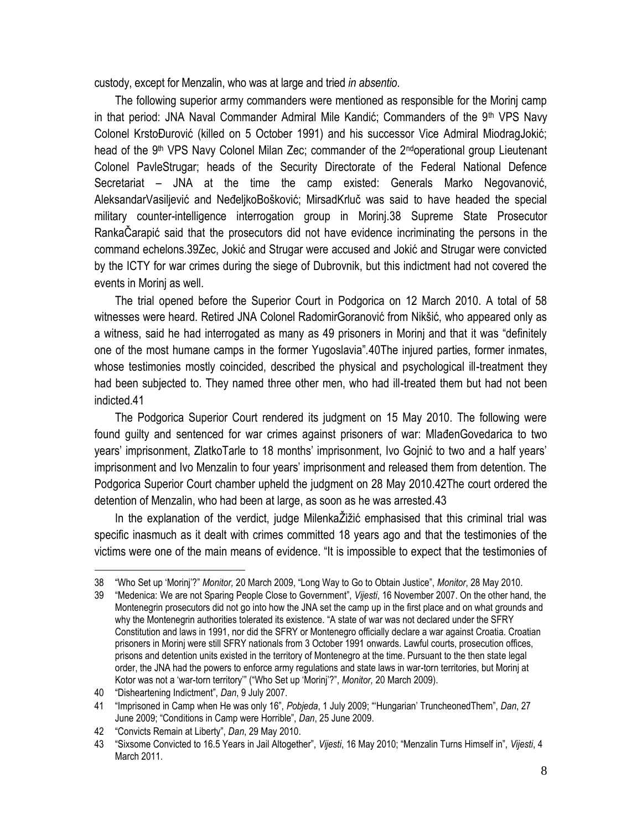custody, except for Menzalin, who was at large and tried *in absentio*.

The following superior army commanders were mentioned as responsible for the Morinj camp in that period: JNA Naval Commander Admiral Mile Kandić; Commanders of the 9<sup>th</sup> VPS Navy Colonel KrstoĐurović (killed on 5 October 1991) and his successor Vice Admiral MiodragJokić; head of the 9<sup>th</sup> VPS Navy Colonel Milan Zec; commander of the 2<sup>nd</sup>operational group Lieutenant Colonel PavleStrugar; heads of the Security Directorate of the Federal National Defence Secretariat – JNA at the time the camp existed: Generals Marko Negovanović, AleksandarVasiljević and NeđeljkoBošković; MirsadKrluč was said to have headed the special military counter-intelligence interrogation group in Morinj.38 Supreme State Prosecutor RankaČarapić said that the prosecutors did not have evidence incriminating the persons in the command echelons.39Zec, Jokić and Strugar were accused and Jokić and Strugar were convicted by the ICTY for war crimes during the siege of Dubrovnik, but this indictment had not covered the events in Morinj as well.

The trial opened before the Superior Court in Podgorica on 12 March 2010. A total of 58 witnesses were heard. Retired JNA Colonel RadomirGoranović from Nikšić, who appeared only as a witness, said he had interrogated as many as 49 prisoners in Morinj and that it was "definitely one of the most humane camps in the former Yugoslavia".40The injured parties, former inmates, whose testimonies mostly coincided, described the physical and psychological ill-treatment they had been subjected to. They named three other men, who had ill-treated them but had not been indicted.41

The Podgorica Superior Court rendered its judgment on 15 May 2010. The following were found guilty and sentenced for war crimes against prisoners of war: MlađenGovedarica to two years' imprisonment, ZlatkoTarle to 18 months' imprisonment, Ivo Gojnić to two and a half years' imprisonment and Ivo Menzalin to four years' imprisonment and released them from detention. The Podgorica Superior Court chamber upheld the judgment on 28 May 2010.42The court ordered the detention of Menzalin, who had been at large, as soon as he was arrested.43

In the explanation of the verdict, judge MilenkaŽižić emphasised that this criminal trial was specific inasmuch as it dealt with crimes committed 18 years ago and that the testimonies of the victims were one of the main means of evidence. "It is impossible to expect that the testimonies of

<sup>38</sup> "Who Set up 'Morinj'?" *Monitor,* 20 March 2009, "Long Way to Go to Obtain Justice", *Monitor*, 28 May 2010.

<sup>39</sup> "Medenica: We are not Sparing People Close to Government", *Vijesti*, 16 November 2007. On the other hand, the Montenegrin prosecutors did not go into how the JNA set the camp up in the first place and on what grounds and why the Montenegrin authorities tolerated its existence. "A state of war was not declared under the SFRY Constitution and laws in 1991, nor did the SFRY or Montenegro officially declare a war against Croatia. Croatian prisoners in Morinj were still SFRY nationals from 3 October 1991 onwards. Lawful courts, prosecution offices, prisons and detention units existed in the territory of Montenegro at the time. Pursuant to the then state legal order, the JNA had the powers to enforce army regulations and state laws in war-torn territories, but Morinj at Kotor was not a 'war-torn territory'" ("Who Set up 'Morinj'?", *Monitor,* 20 March 2009).

<sup>40</sup> "Disheartening Indictment", *Dan*, 9 July 2007.

<sup>41</sup> "Imprisoned in Camp when He was only 16", *Pobjeda*, 1 July 2009; "'Hungarian' TruncheonedThem", *Dan*, 27 June 2009; "Conditions in Camp were Horrible", *Dan*, 25 June 2009.

<sup>42</sup> "Convicts Remain at Liberty", *Dan*, 29 May 2010.

<sup>43</sup> "Sixsome Convicted to 16.5 Years in Jail Altogether", *Vijesti*, 16 May 2010; "Menzalin Turns Himself in", *Vijesti*, 4 March 2011.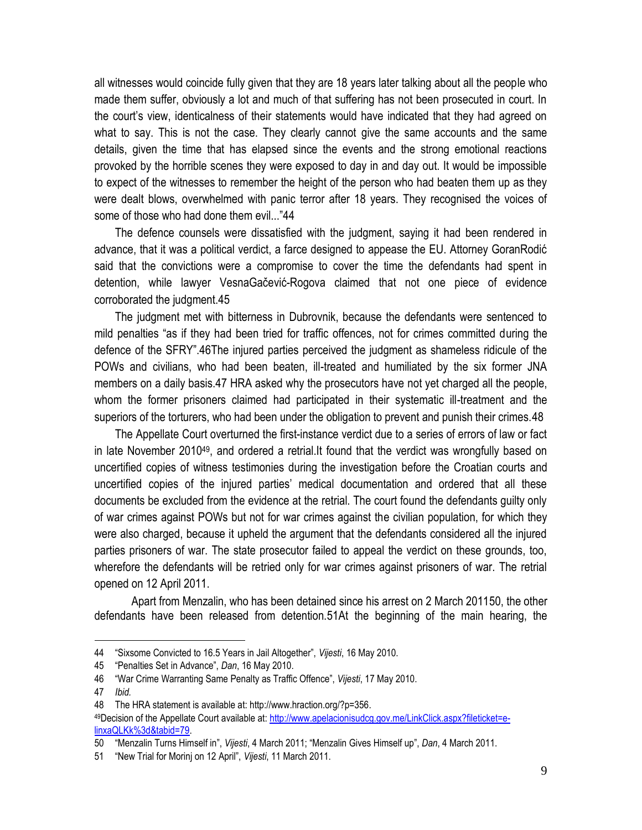all witnesses would coincide fully given that they are 18 years later talking about all the people who made them suffer, obviously a lot and much of that suffering has not been prosecuted in court. In the court's view, identicalness of their statements would have indicated that they had agreed on what to say. This is not the case. They clearly cannot give the same accounts and the same details, given the time that has elapsed since the events and the strong emotional reactions provoked by the horrible scenes they were exposed to day in and day out. It would be impossible to expect of the witnesses to remember the height of the person who had beaten them up as they were dealt blows, overwhelmed with panic terror after 18 years. They recognised the voices of some of those who had done them evil..."44

The defence counsels were dissatisfied with the judgment, saying it had been rendered in advance, that it was a political verdict, a farce designed to appease the EU. Attorney GoranRodić said that the convictions were a compromise to cover the time the defendants had spent in detention, while lawyer VesnaGačević-Rogova claimed that not one piece of evidence corroborated the judgment.45

The judgment met with bitterness in Dubrovnik, because the defendants were sentenced to mild penalties "as if they had been tried for traffic offences, not for crimes committed during the defence of the SFRY".46The injured parties perceived the judgment as shameless ridicule of the POWs and civilians, who had been beaten, ill-treated and humiliated by the six former JNA members on a daily basis.47 HRA asked why the prosecutors have not yet charged all the people, whom the former prisoners claimed had participated in their systematic ill-treatment and the superiors of the torturers, who had been under the obligation to prevent and punish their crimes.48

The Appellate Court overturned the first-instance verdict due to a series of errors of law or fact in late November 2010<sup>49</sup>, and ordered a retrial.It found that the verdict was wrongfully based on uncertified copies of witness testimonies during the investigation before the Croatian courts and uncertified copies of the injured parties' medical documentation and ordered that all these documents be excluded from the evidence at the retrial. The court found the defendants guilty only of war crimes against POWs but not for war crimes against the civilian population, for which they were also charged, because it upheld the argument that the defendants considered all the injured parties prisoners of war. The state prosecutor failed to appeal the verdict on these grounds, too, wherefore the defendants will be retried only for war crimes against prisoners of war. The retrial opened on 12 April 2011.

Apart from Menzalin, who has been detained since his arrest on 2 March 201150, the other defendants have been released from detention.51At the beginning of the main hearing, the

<sup>44</sup> "Sixsome Convicted to 16.5 Years in Jail Altogether", *Vijesti*, 16 May 2010.

<sup>45</sup> "Penalties Set in Advance", *Dan*, 16 May 2010.

<sup>46</sup> "War Crime Warranting Same Penalty as Traffic Offence", *Vijesti*, 17 May 2010.

<sup>47</sup> *Ibid.*

<sup>48</sup> The HRA statement is available at: http://www.hraction.org/?p=356.

<sup>49</sup>Decision of the Appellate Court available at: [http://www.apelacionisudcg.gov.me/LinkClick.aspx?fileticket=e](http://www.apelacionisudcg.gov.me/LinkClick.aspx?fileticket=e-linxaQLKk%3d&tabid=79)[linxaQLKk%3d&tabid=79.](http://www.apelacionisudcg.gov.me/LinkClick.aspx?fileticket=e-linxaQLKk%3d&tabid=79)

<sup>50</sup> "Menzalin Turns Himself in", *Vijesti*, 4 March 2011; "Menzalin Gives Himself up", *Dan*, 4 March 2011.

<sup>51</sup> "New Trial for Morinj on 12 April", *Vijesti*, 11 March 2011.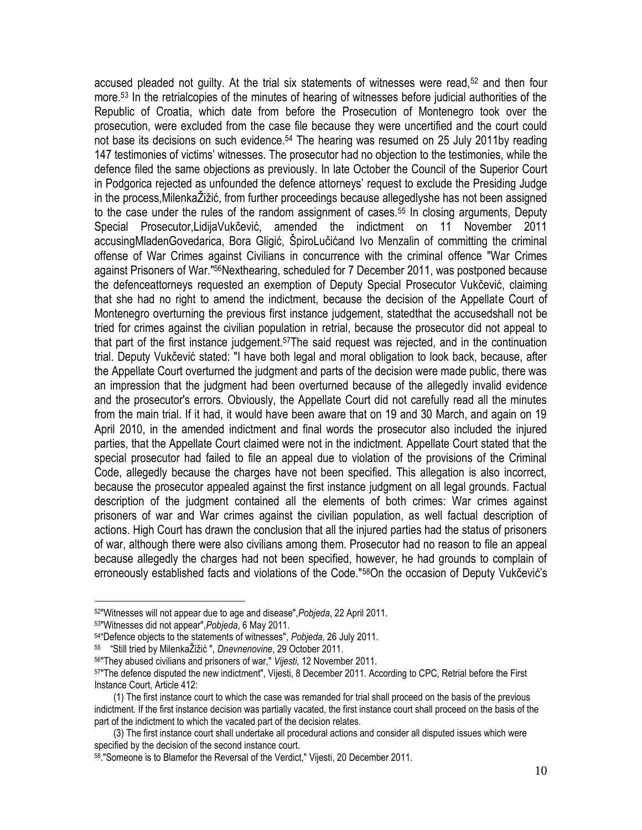accused pleaded not guilty. At the trial six statements of witnesses were read,<sup>52</sup> and then four more.<sup>53</sup> In the retrialcopies of the minutes of hearing of witnesses before judicial authorities of the Republic of Croatia, which date from before the Prosecution of Montenegro took over the prosecution, were excluded from the case file because they were uncertified and the court could not base its decisions on such evidence.<sup>54</sup> The hearing was resumed on 25 July 2011by reading 147 testimonies of victims' witnesses. The prosecutor had no objection to the testimonies, while the defence filed the same objections as previously. In late October the Council of the Superior Court in Podgorica rejected as unfounded the defence attorneys' request to exclude the Presiding Judge in the process,MilenkaŽižić, from further proceedings because allegedlyshe has not been assigned to the case under the rules of the random assignment of cases.<sup>55</sup> In closing arguments, Deputy Special Prosecutor,LidijaVukčević, amended the indictment on 11 November 2011 accusingMladenGovedarica, Bora Gligić, ŠpiroLučićand Ivo Menzalin of committing the criminal offense of War Crimes against Civilians in concurrence with the criminal offence "War Crimes against Prisoners of War."56Nexthearing, scheduled for 7 December 2011, was postponed because the defenceattorneys requested an exemption of Deputy Special Prosecutor Vukčević, claiming that she had no right to amend the indictment, because the decision of the Appellate Court of Montenegro overturning the previous first instance judgement, statedthat the accusedshall not be tried for crimes against the civilian population in retrial, because the prosecutor did not appeal to that part of the first instance judgement.57The said request was rejected, and in the continuation trial. Deputy Vukčević stated: "I have both legal and moral obligation to look back, because, after the Appellate Court overturned the judgment and parts of the decision were made public, there was an impression that the judgment had been overturned because of the allegedly invalid evidence and the prosecutor's errors. Obviously, the Appellate Court did not carefully read all the minutes from the main trial. If it had, it would have been aware that on 19 and 30 March, and again on 19 April 2010, in the amended indictment and final words the prosecutor also included the injured parties, that the Appellate Court claimed were not in the indictment. Appellate Court stated that the special prosecutor had failed to file an appeal due to violation of the provisions of the Criminal Code, allegedly because the charges have not been specified. This allegation is also incorrect, because the prosecutor appealed against the first instance judgment on all legal grounds. Factual description of the judgment contained all the elements of both crimes: War crimes against prisoners of war and War crimes against the civilian population, as well factual description of actions. High Court has drawn the conclusion that all the injured parties had the status of prisoners of war, although there were also civilians among them. Prosecutor had no reason to file an appeal because allegedly the charges had not been specified, however, he had grounds to complain of erroneously established facts and violations of the Code."58On the occasion of Deputy Vukčević's

<sup>52</sup>"Witnesses will not appear due to age and disease",*Pobjeda*, 22 April 2011.

<sup>53</sup>"Witnesses did not appear",*Pobjeda*, 6 May 2011.

<sup>54</sup>"Defence objects to the statements of witnesses", *Pobjeda*, 26 July 2011.

<sup>55</sup> "Still tried by MilenkaŽižić ", *Dnevnenovine*, 29 October 2011.

<sup>56</sup>"They abused civilians and prisoners of war," *Vijesti*, 12 November 2011.

<sup>57</sup>"The defence disputed the new indictment", Vijesti, 8 December 2011. According to CPC, Retrial before the First Instance Court, Article 412:

 <sup>(1)</sup> The first instance court to which the case was remanded for trial shall proceed on the basis of the previous indictment. If the first instance decision was partially vacated, the first instance court shall proceed on the basis of the part of the indictment to which the vacated part of the decision relates.

 <sup>(3)</sup> The first instance court shall undertake all procedural actions and consider all disputed issues which were specified by the decision of the second instance court.

<sup>58</sup> ."Someone is to Blamefor the Reversal of the Verdict," Vijesti, 20 December 2011.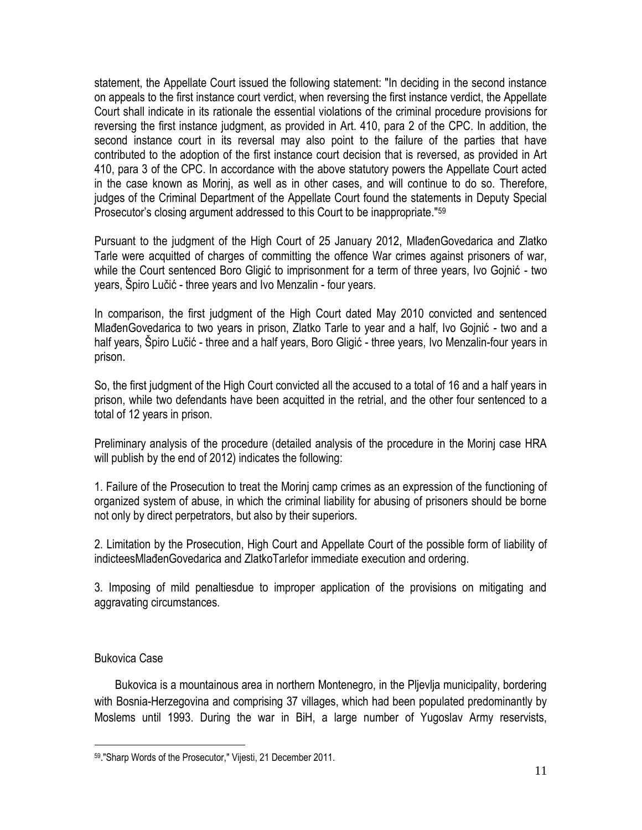statement, the Appellate Court issued the following statement: "In deciding in the second instance on appeals to the first instance court verdict, when reversing the first instance verdict, the Appellate Court shall indicate in its rationale the essential violations of the criminal procedure provisions for reversing the first instance judgment, as provided in Art. 410, para 2 of the CPC. In addition, the second instance court in its reversal may also point to the failure of the parties that have contributed to the adoption of the first instance court decision that is reversed, as provided in Art 410, para 3 of the CPC. In accordance with the above statutory powers the Appellate Court acted in the case known as Morinj, as well as in other cases, and will continue to do so. Therefore, judges of the Criminal Department of the Appellate Court found the statements in Deputy Special Prosecutor's closing argument addressed to this Court to be inappropriate."<sup>59</sup>

Pursuant to the judgment of the High Court of 25 January 2012, MlađenGovedarica and Zlatko Tarle were acquitted of charges of committing the offence War crimes against prisoners of war, while the Court sentenced Boro Gligić to imprisonment for a term of three years, Ivo Gojnić - two years, Špiro Lučić - three years and Ivo Menzalin - four years.

In comparison, the first judgment of the High Court dated May 2010 convicted and sentenced MlađenGovedarica to two years in prison, Zlatko Tarle to year and a half, Ivo Gojnić - two and a half years, Špiro Lučić - three and a half years, Boro Gligić - three years, Ivo Menzalin-four years in prison.

So, the first judgment of the High Court convicted all the accused to a total of 16 and a half years in prison, while two defendants have been acquitted in the retrial, and the other four sentenced to a total of 12 years in prison.

Preliminary analysis of the procedure (detailed analysis of the procedure in the Morinj case HRA will publish by the end of 2012) indicates the following:

1. Failure of the Prosecution to treat the Morinj camp crimes as an expression of the functioning of organized system of abuse, in which the criminal liability for abusing of prisoners should be borne not only by direct perpetrators, but also by their superiors.

2. Limitation by the Prosecution, High Court and Appellate Court of the possible form of liability of indicteesMlađenGovedarica and ZlatkoTarlefor immediate execution and ordering.

3. Imposing of mild penaltiesdue to improper application of the provisions on mitigating and aggravating circumstances.

# Bukovica Case

 $\overline{a}$ 

Bukovica is a mountainous area in northern Montenegro, in the Pljevlja municipality, bordering with Bosnia-Herzegovina and comprising 37 villages, which had been populated predominantly by Moslems until 1993. During the war in BiH, a large number of Yugoslav Army reservists,

<sup>59</sup> ."Sharp Words of the Prosecutor," Vijesti, 21 December 2011.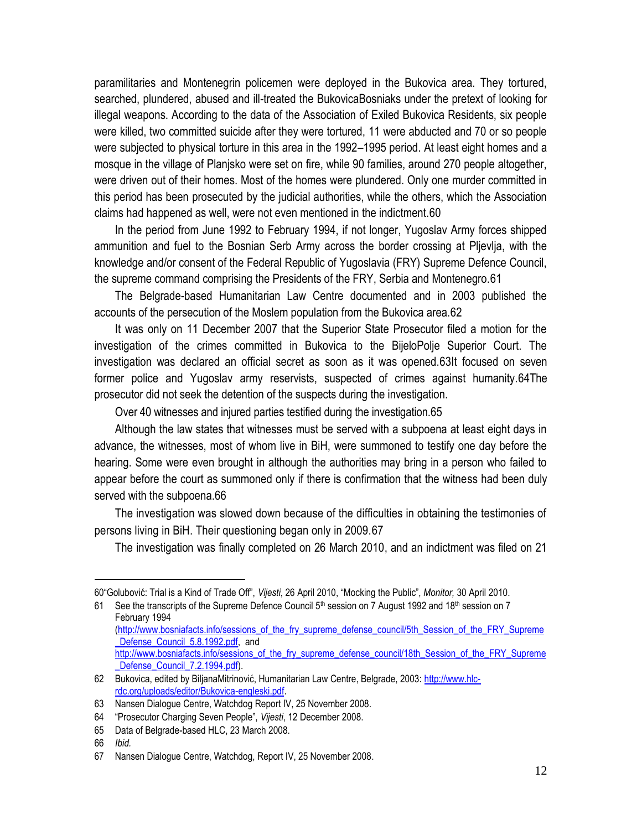paramilitaries and Montenegrin policemen were deployed in the Bukovica area. They tortured, searched, plundered, abused and ill-treated the BukovicaBosniaks under the pretext of looking for illegal weapons. According to the data of the Association of Exiled Bukovica Residents, six people were killed, two committed suicide after they were tortured, 11 were abducted and 70 or so people were subjected to physical torture in this area in the 1992–1995 period. At least eight homes and a mosque in the village of Planjsko were set on fire, while 90 families, around 270 people altogether, were driven out of their homes. Most of the homes were plundered. Only one murder committed in this period has been prosecuted by the judicial authorities, while the others, which the Association claims had happened as well, were not even mentioned in the indictment.60

In the period from June 1992 to February 1994, if not longer, Yugoslav Army forces shipped ammunition and fuel to the Bosnian Serb Army across the border crossing at Pljevlja, with the knowledge and/or consent of the Federal Republic of Yugoslavia (FRY) Supreme Defence Council, the supreme command comprising the Presidents of the FRY, Serbia and Montenegro.61

The Belgrade-based Humanitarian Law Centre documented and in 2003 published the accounts of the persecution of the Moslem population from the Bukovica area.62

It was only on 11 December 2007 that the Superior State Prosecutor filed a motion for the investigation of the crimes committed in Bukovica to the BijeloPolje Superior Court. The investigation was declared an official secret as soon as it was opened.63It focused on seven former police and Yugoslav army reservists, suspected of crimes against humanity.64The prosecutor did not seek the detention of the suspects during the investigation.

Over 40 witnesses and injured parties testified during the investigation.65

Although the law states that witnesses must be served with a subpoena at least eight days in advance, the witnesses, most of whom live in BiH, were summoned to testify one day before the hearing. Some were even brought in although the authorities may bring in a person who failed to appear before the court as summoned only if there is confirmation that the witness had been duly served with the subpoena.66

The investigation was slowed down because of the difficulties in obtaining the testimonies of persons living in BiH. Their questioning began only in 2009.67

The investigation was finally completed on 26 March 2010, and an indictment was filed on 21

<sup>60</sup>"Golubović: Trial is a Kind of Trade Off", *Vijesti*, 26 April 2010, "Mocking the Public", *Monitor,* 30 April 2010.

<sup>61</sup> See the transcripts of the Supreme Defence Council 5<sup>th</sup> session on 7 August 1992 and 18<sup>th</sup> session on 7 February 1994 [\(http://www.bosniafacts.info/sessions\\_of\\_the\\_fry\\_supreme\\_defense\\_council/5th\\_Session\\_of\\_the\\_FRY\\_Supreme](http://www.bosniafacts.info/sessions_of_the_fry_supreme_defense_council/5th_Session_of_the_FRY_Supreme_Defense_Council_5.8.1992.pdf)

Defense Council 5.8.1992.pdf, and http://www.bosniafacts.info/sessions of the fry supreme defense council/18th Session of the FRY Supreme

Defense\_Council\_7.2.1994.pdf).

<sup>62</sup> Bukovica, edited by BiljanaMitrinović, Humanitarian Law Centre, Belgrade, 2003: [http://www.hlc](http://www.hlc-rdc.org/uploads/editor/Bukovica-engleski.pdf)[rdc.org/uploads/editor/Bukovica-engleski.pdf.](http://www.hlc-rdc.org/uploads/editor/Bukovica-engleski.pdf)

<sup>63</sup> Nansen Dialogue Centre, Watchdog Report IV, 25 November 2008.

<sup>64</sup> "Prosecutor Charging Seven People", *Vijesti*, 12 December 2008.

<sup>65</sup> Data of Belgrade-based HLC, 23 March 2008.

<sup>66</sup> *Ibid.*

<sup>67</sup> Nansen Dialogue Centre, Watchdog, Report IV, 25 November 2008.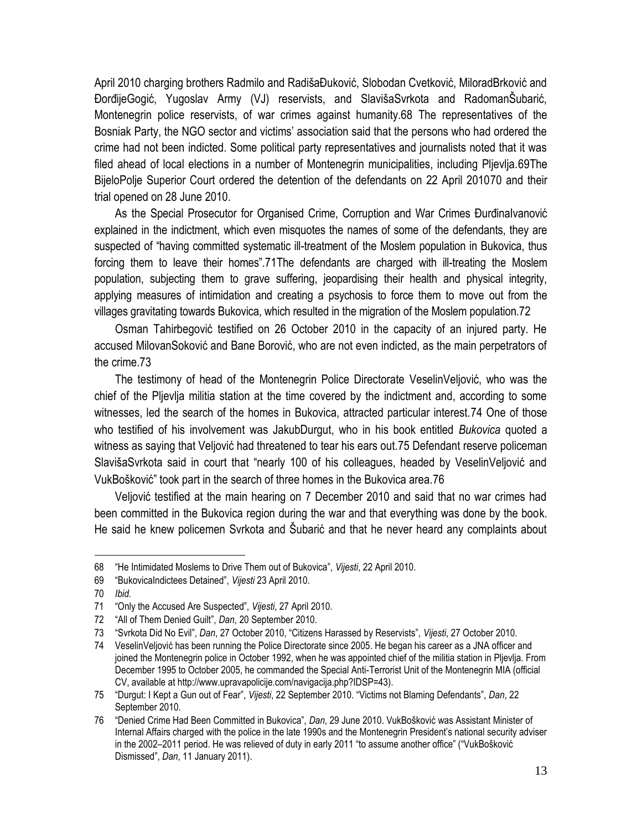April 2010 charging brothers Radmilo and RadišaĐuković, Slobodan Cvetković, MiloradBrković and ĐorđijeGogić, Yugoslav Army (VJ) reservists, and SlavišaSvrkota and RadomanŠubarić, Montenegrin police reservists, of war crimes against humanity.68 The representatives of the Bosniak Party, the NGO sector and victims' association said that the persons who had ordered the crime had not been indicted. Some political party representatives and journalists noted that it was filed ahead of local elections in a number of Montenegrin municipalities, including Pljevlja.69The BijeloPolje Superior Court ordered the detention of the defendants on 22 April 201070 and their trial opened on 28 June 2010.

As the Special Prosecutor for Organised Crime, Corruption and War Crimes ĐurđinaIvanović explained in the indictment, which even misquotes the names of some of the defendants, they are suspected of "having committed systematic ill-treatment of the Moslem population in Bukovica, thus forcing them to leave their homes".71The defendants are charged with ill-treating the Moslem population, subjecting them to grave suffering, jeopardising their health and physical integrity, applying measures of intimidation and creating a psychosis to force them to move out from the villages gravitating towards Bukovica, which resulted in the migration of the Moslem population.72

Osman Tahirbegović testified on 26 October 2010 in the capacity of an injured party. He accused MilovanSoković and Bane Borović, who are not even indicted, as the main perpetrators of the crime.73

The testimony of head of the Montenegrin Police Directorate VeselinVeljović, who was the chief of the Pljevlja militia station at the time covered by the indictment and, according to some witnesses, led the search of the homes in Bukovica, attracted particular interest.74 One of those who testified of his involvement was JakubDurgut, who in his book entitled *Bukovica* quoted a witness as saying that Veljović had threatened to tear his ears out.75 Defendant reserve policeman SlavišaSvrkota said in court that "nearly 100 of his colleagues, headed by VeselinVeljović and VukBošković" took part in the search of three homes in the Bukovica area.76

Veljović testified at the main hearing on 7 December 2010 and said that no war crimes had been committed in the Bukovica region during the war and that everything was done by the book. He said he knew policemen Svrkota and Šubarić and that he never heard any complaints about

<sup>68</sup> "He Intimidated Moslems to Drive Them out of Bukovica", *Vijesti*, 22 April 2010.

<sup>69</sup> "BukovicaIndictees Detained", *Vijesti* 23 April 2010.

<sup>70</sup> *Ibid.*

<sup>71</sup> "Only the Accused Are Suspected", *Vijesti*, 27 April 2010.

<sup>72</sup> "All of Them Denied Guilt", *Dan*, 20 September 2010.

<sup>73</sup> "Svrkota Did No Evil", *Dan*, 27 October 2010, "Citizens Harassed by Reservists", *Vijesti*, 27 October 2010.

<sup>74</sup> VeselinVeljović has been running the Police Directorate since 2005. He began his career as a JNA officer and joined the Montenegrin police in October 1992, when he was appointed chief of the militia station in Pljevlja. From December 1995 to October 2005, he commanded the Special Anti-Terrorist Unit of the Montenegrin MIA (official CV, available at http://www.upravapolicije.com/navigacija.php?IDSP=43).

<sup>75</sup> "Durgut: I Kept a Gun out of Fear", *Vijesti*, 22 September 2010. "Victims not Blaming Defendants", *Dan*, 22 September 2010.

<sup>76</sup> "Denied Crime Had Been Committed in Bukovica", *Dan*, 29 June 2010. VukBošković was Assistant Minister of Internal Affairs charged with the police in the late 1990s and the Montenegrin President's national security adviser in the 2002–2011 period. He was relieved of duty in early 2011 "to assume another office" ("VukBošković Dismissed", *Dan*, 11 January 2011).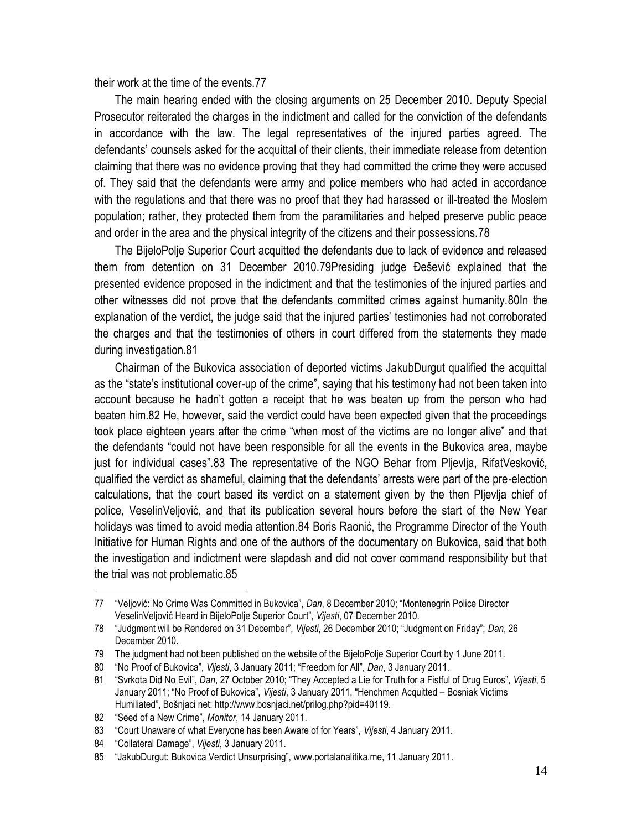their work at the time of the events.77

The main hearing ended with the closing arguments on 25 December 2010. Deputy Special Prosecutor reiterated the charges in the indictment and called for the conviction of the defendants in accordance with the law. The legal representatives of the injured parties agreed. The defendants' counsels asked for the acquittal of their clients, their immediate release from detention claiming that there was no evidence proving that they had committed the crime they were accused of. They said that the defendants were army and police members who had acted in accordance with the regulations and that there was no proof that they had harassed or ill-treated the Moslem population; rather, they protected them from the paramilitaries and helped preserve public peace and order in the area and the physical integrity of the citizens and their possessions.78

The BijeloPolje Superior Court acquitted the defendants due to lack of evidence and released them from detention on 31 December 2010.79Presiding judge Đešević explained that the presented evidence proposed in the indictment and that the testimonies of the injured parties and other witnesses did not prove that the defendants committed crimes against humanity.80In the explanation of the verdict, the judge said that the injured parties' testimonies had not corroborated the charges and that the testimonies of others in court differed from the statements they made during investigation.81

Chairman of the Bukovica association of deported victims JakubDurgut qualified the acquittal as the "state's institutional cover-up of the crime", saying that his testimony had not been taken into account because he hadn't gotten a receipt that he was beaten up from the person who had beaten him.82 He, however, said the verdict could have been expected given that the proceedings took place eighteen years after the crime "when most of the victims are no longer alive" and that the defendants "could not have been responsible for all the events in the Bukovica area, maybe just for individual cases".83 The representative of the NGO Behar from Pljevlja, RifatVesković, qualified the verdict as shameful, claiming that the defendants' arrests were part of the pre-election calculations, that the court based its verdict on a statement given by the then Pljevlja chief of police, VeselinVeljović, and that its publication several hours before the start of the New Year holidays was timed to avoid media attention.84 Boris Raonić, the Programme Director of the Youth Initiative for Human Rights and one of the authors of the documentary on Bukovica, said that both the investigation and indictment were slapdash and did not cover command responsibility but that the trial was not problematic.85

<sup>77</sup> "Veljović: No Crime Was Committed in Bukovica", *Dan*, 8 December 2010; "Montenegrin Police Director VeselinVeljović Heard in BijeloPolje Superior Court", *Vijesti*, 07 December 2010.

<sup>78</sup> "Judgment will be Rendered on 31 December", *Vijesti*, 26 December 2010; "Judgment on Friday"; *Dan*, 26 December 2010.

<sup>79</sup> The judgment had not been published on the website of the BijeloPolje Superior Court by 1 June 2011.

<sup>80</sup> "No Proof of Bukovica", *Vijesti*, 3 January 2011; "Freedom for All", *Dan*, 3 January 2011.

<sup>81</sup> "Svrkota Did No Evil", *Dan*, 27 October 2010; "They Accepted a Lie for Truth for a Fistful of Drug Euros", *Vijesti*, 5 January 2011; "No Proof of Bukovica", *Vijesti*, 3 January 2011, "Henchmen Acquitted – Bosniak Victims Humiliated", Bošnjaci net: http://www.bosnjaci.net/prilog.php?pid=40119.

<sup>82</sup> "Seed of a New Crime", *Monitor*, 14 January 2011.

<sup>83</sup> "Court Unaware of what Everyone has been Aware of for Years", *Vijesti*, 4 January 2011.

<sup>84</sup> "Collateral Damage", *Vijesti*, 3 January 2011.

<sup>85</sup> "JakubDurgut: Bukovica Verdict Unsurprising", www.portalanalitika.me, 11 January 2011.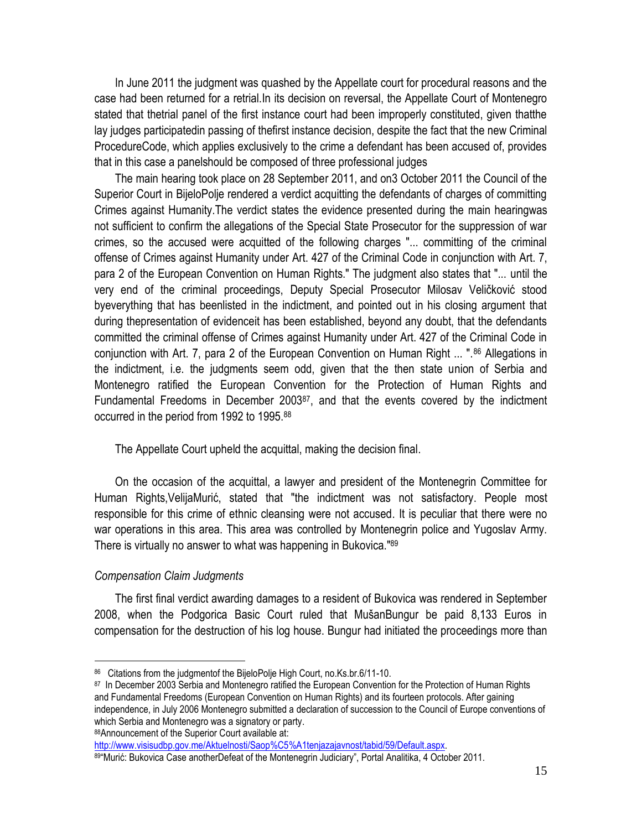In June 2011 the judgment was quashed by the Appellate court for procedural reasons and the case had been returned for a retrial.In its decision on reversal, the Appellate Court of Montenegro stated that thetrial panel of the first instance court had been improperly constituted, given thatthe lay judges participatedin passing of thefirst instance decision, despite the fact that the new Criminal ProcedureCode, which applies exclusively to the crime a defendant has been accused of, provides that in this case a panelshould be composed of three professional judges

The main hearing took place on 28 September 2011, and on3 October 2011 the Council of the Superior Court in BijeloPolje rendered a verdict acquitting the defendants of charges of committing Crimes against Humanity.The verdict states the evidence presented during the main hearingwas not sufficient to confirm the allegations of the Special State Prosecutor for the suppression of war crimes, so the accused were acquitted of the following charges "... committing of the criminal offense of Crimes against Humanity under Art. 427 of the Criminal Code in conjunction with Art. 7, para 2 of the European Convention on Human Rights." The judgment also states that "... until the very end of the criminal proceedings, Deputy Special Prosecutor Milosav Veličković stood byeverything that has beenlisted in the indictment, and pointed out in his closing argument that during thepresentation of evidenceit has been established, beyond any doubt, that the defendants committed the criminal offense of Crimes against Humanity under Art. 427 of the Criminal Code in conjunction with Art. 7, para 2 of the European Convention on Human Right ... ".<sup>86</sup> Allegations in the indictment, i.e. the judgments seem odd, given that the then state union of Serbia and Montenegro ratified the European Convention for the Protection of Human Rights and Fundamental Freedoms in December 200387, and that the events covered by the indictment occurred in the period from 1992 to 1995.<sup>88</sup>

The Appellate Court upheld the acquittal, making the decision final.

On the occasion of the acquittal, a lawyer and president of the Montenegrin Committee for Human Rights,VelijaMurić, stated that "the indictment was not satisfactory. People most responsible for this crime of ethnic cleansing were not accused. It is peculiar that there were no war operations in this area. This area was controlled by Montenegrin police and Yugoslav Army. There is virtually no answer to what was happening in Bukovica."<sup>89</sup>

### *Compensation Claim Judgments*

 $\overline{a}$ 

The first final verdict awarding damages to a resident of Bukovica was rendered in September 2008, when the Podgorica Basic Court ruled that MušanBungur be paid 8,133 Euros in compensation for the destruction of his log house. Bungur had initiated the proceedings more than

88Announcement of the Superior Court available at:

[http://www.visisudbp.gov.me/Aktuelnosti/Saop%C5%A1tenjazajavnost/tabid/59/Default.aspx.](http://www.visisudbp.gov.me/Aktuelnosti/Saop%C5%A1tenjazajavnost/tabid/59/Default.aspx) 

89"Murić: Bukovica Case anotherDefeat of the Montenegrin Judiciary", Portal Analitika, 4 October 2011.

<sup>&</sup>lt;sup>86</sup> Citations from the judgmentof the BijeloPolje High Court, no.Ks.br.6/11-10.

<sup>&</sup>lt;sup>87</sup> In December 2003 Serbia and Montenegro ratified the European Convention for the Protection of Human Rights and Fundamental Freedoms (European Convention on Human Rights) and its fourteen protocols. After gaining independence, in July 2006 Montenegro submitted a declaration of succession to the Council of Europe conventions of which Serbia and Montenegro was a signatory or party.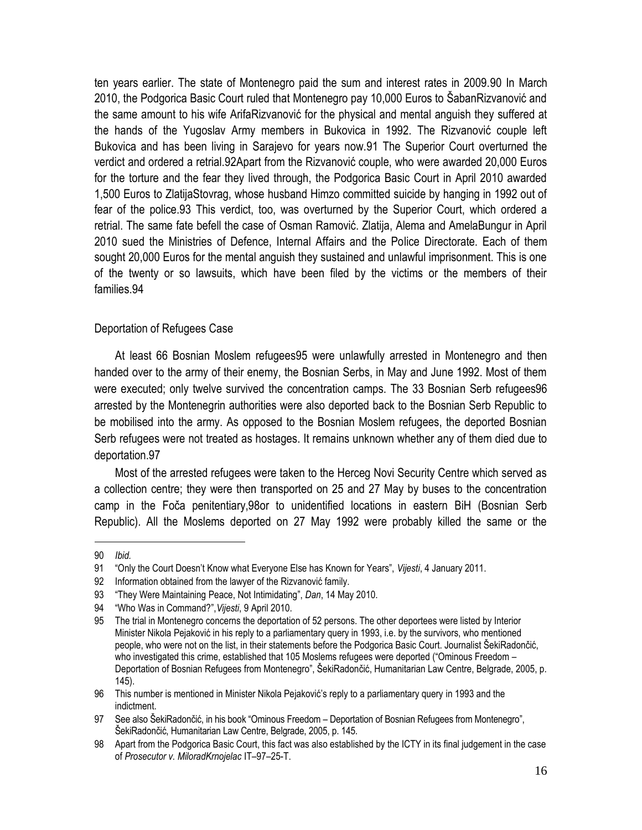ten years earlier. The state of Montenegro paid the sum and interest rates in 2009.90 In March 2010, the Podgorica Basic Court ruled that Montenegro pay 10,000 Euros to ŠabanRizvanović and the same amount to his wife ArifaRizvanović for the physical and mental anguish they suffered at the hands of the Yugoslav Army members in Bukovica in 1992. The Rizvanović couple left Bukovica and has been living in Sarajevo for years now.91 The Superior Court overturned the verdict and ordered a retrial.92Apart from the Rizvanović couple, who were awarded 20,000 Euros for the torture and the fear they lived through, the Podgorica Basic Court in April 2010 awarded 1,500 Euros to ZlatijaStovrag, whose husband Himzo committed suicide by hanging in 1992 out of fear of the police.93 This verdict, too, was overturned by the Superior Court, which ordered a retrial. The same fate befell the case of Osman Ramović. Zlatija, Alema and AmelaBungur in April 2010 sued the Ministries of Defence, Internal Affairs and the Police Directorate. Each of them sought 20,000 Euros for the mental anguish they sustained and unlawful imprisonment. This is one of the twenty or so lawsuits, which have been filed by the victims or the members of their families.94

### Deportation of Refugees Case

At least 66 Bosnian Moslem refugees95 were unlawfully arrested in Montenegro and then handed over to the army of their enemy, the Bosnian Serbs, in May and June 1992. Most of them were executed; only twelve survived the concentration camps. The 33 Bosnian Serb refugees96 arrested by the Montenegrin authorities were also deported back to the Bosnian Serb Republic to be mobilised into the army. As opposed to the Bosnian Moslem refugees, the deported Bosnian Serb refugees were not treated as hostages. It remains unknown whether any of them died due to deportation.97

Most of the arrested refugees were taken to the Herceg Novi Security Centre which served as a collection centre; they were then transported on 25 and 27 May by buses to the concentration camp in the Foča penitentiary,98or to unidentified locations in eastern BiH (Bosnian Serb Republic). All the Moslems deported on 27 May 1992 were probably killed the same or the

<sup>90</sup> *Ibid.*

<sup>91</sup> "Only the Court Doesn't Know what Everyone Else has Known for Years", *Vijesti*, 4 January 2011.

<sup>92</sup> Information obtained from the lawyer of the Rizvanović family.

<sup>93</sup> "They Were Maintaining Peace, Not Intimidating", *Dan*, 14 May 2010.

<sup>94</sup> "Who Was in Command?",*Vijesti*, 9 April 2010.

<sup>95</sup> The trial in Montenegro concerns the deportation of 52 persons. The other deportees were listed by Interior Minister Nikola Pejaković in his reply to a parliamentary query in 1993, i.e. by the survivors, who mentioned people, who were not on the list, in their statements before the Podgorica Basic Court. Journalist ŠekiRadončić, who investigated this crime, established that 105 Moslems refugees were deported ("Ominous Freedom – Deportation of Bosnian Refugees from Montenegro", ŠekiRadončić, Humanitarian Law Centre, Belgrade, 2005, p. 145).

<sup>96</sup> This number is mentioned in Minister Nikola Pejaković's reply to a parliamentary query in 1993 and the indictment.

<sup>97</sup> See also ŠekiRadončić, in his book "Ominous Freedom – Deportation of Bosnian Refugees from Montenegro", ŠekiRadončić, Humanitarian Law Centre, Belgrade, 2005, p. 145.

<sup>98</sup> Apart from the Podgorica Basic Court, this fact was also established by the ICTY in its final judgement in the case of *Prosecutor v. MiloradKrnojelac* IT–97–25-T.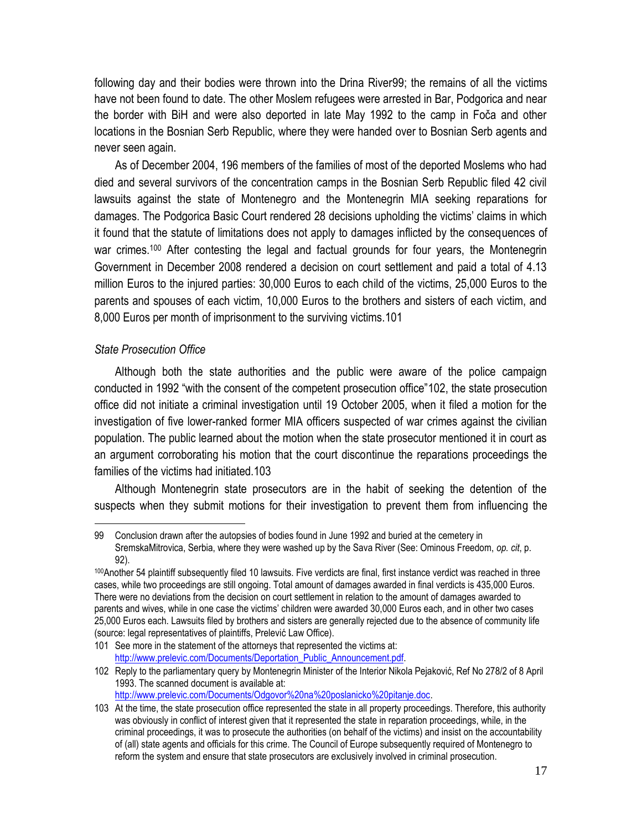following day and their bodies were thrown into the Drina River99; the remains of all the victims have not been found to date. The other Moslem refugees were arrested in Bar, Podgorica and near the border with BiH and were also deported in late May 1992 to the camp in Foča and other locations in the Bosnian Serb Republic, where they were handed over to Bosnian Serb agents and never seen again.

As of December 2004, 196 members of the families of most of the deported Moslems who had died and several survivors of the concentration camps in the Bosnian Serb Republic filed 42 civil lawsuits against the state of Montenegro and the Montenegrin MIA seeking reparations for damages. The Podgorica Basic Court rendered 28 decisions upholding the victims' claims in which it found that the statute of limitations does not apply to damages inflicted by the consequences of war crimes.<sup>100</sup> After contesting the legal and factual grounds for four years, the Montenegrin Government in December 2008 rendered a decision on court settlement and paid a total of 4.13 million Euros to the injured parties: 30,000 Euros to each child of the victims, 25,000 Euros to the parents and spouses of each victim, 10,000 Euros to the brothers and sisters of each victim, and 8,000 Euros per month of imprisonment to the surviving victims.101

### *State Prosecution Office*

 $\overline{a}$ 

Although both the state authorities and the public were aware of the police campaign conducted in 1992 "with the consent of the competent prosecution office"102, the state prosecution office did not initiate a criminal investigation until 19 October 2005, when it filed a motion for the investigation of five lower-ranked former MIA officers suspected of war crimes against the civilian population. The public learned about the motion when the state prosecutor mentioned it in court as an argument corroborating his motion that the court discontinue the reparations proceedings the families of the victims had initiated.103

Although Montenegrin state prosecutors are in the habit of seeking the detention of the suspects when they submit motions for their investigation to prevent them from influencing the

<sup>99</sup> Conclusion drawn after the autopsies of bodies found in June 1992 and buried at the cemetery in SremskaMitrovica, Serbia, where they were washed up by the Sava River (See: Ominous Freedom, *op. cit*, p. 92).

<sup>100</sup>Another 54 plaintiff subsequently filed 10 lawsuits. Five verdicts are final, first instance verdict was reached in three cases, while two proceedings are still ongoing. Total amount of damages awarded in final verdicts is 435,000 Euros. There were no deviations from the decision on court settlement in relation to the amount of damages awarded to parents and wives, while in one case the victims' children were awarded 30,000 Euros each, and in other two cases 25,000 Euros each. Lawsuits filed by brothers and sisters are generally rejected due to the absence of community life (source: legal representatives of plaintiffs, Prelević Law Office).

<sup>101</sup> See more in the statement of the attorneys that represented the victims at: [http://www.prelevic.com/Documents/Deportation\\_Public\\_Announcement.pdf.](http://www.prelevic.com/Documents/Deportation_Public_Announcement.pdf)

<sup>102</sup> Reply to the parliamentary query by Montenegrin Minister of the Interior Nikola Pejaković, Ref No 278/2 of 8 April 1993. The scanned document is available at: [http://www.prelevic.com/Documents/Odgovor%20na%20poslanicko%20pitanje.doc.](http://www.prelevic.com/Documents/Odgovor%20na%20poslanicko%20pitanje.doc) 

<sup>103</sup> At the time, the state prosecution office represented the state in all property proceedings. Therefore, this authority was obviously in conflict of interest given that it represented the state in reparation proceedings, while, in the criminal proceedings, it was to prosecute the authorities (on behalf of the victims) and insist on the accountability of (all) state agents and officials for this crime. The Council of Europe subsequently required of Montenegro to reform the system and ensure that state prosecutors are exclusively involved in criminal prosecution.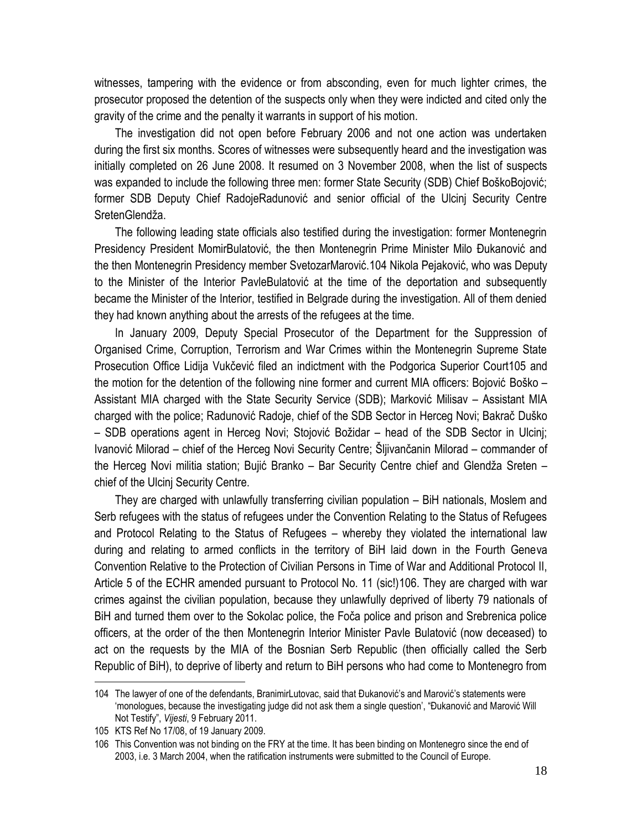witnesses, tampering with the evidence or from absconding, even for much lighter crimes, the prosecutor proposed the detention of the suspects only when they were indicted and cited only the gravity of the crime and the penalty it warrants in support of his motion.

The investigation did not open before February 2006 and not one action was undertaken during the first six months. Scores of witnesses were subsequently heard and the investigation was initially completed on 26 June 2008. It resumed on 3 November 2008, when the list of suspects was expanded to include the following three men: former State Security (SDB) Chief BoškoBojović; former SDB Deputy Chief RadojeRadunović and senior official of the Ulcinj Security Centre SretenGlendža.

The following leading state officials also testified during the investigation: former Montenegrin Presidency President MomirBulatović, the then Montenegrin Prime Minister Milo Đukanović and the then Montenegrin Presidency member SvetozarMarović.104 Nikola Pejaković, who was Deputy to the Minister of the Interior PavleBulatović at the time of the deportation and subsequently became the Minister of the Interior, testified in Belgrade during the investigation. All of them denied they had known anything about the arrests of the refugees at the time.

In January 2009, Deputy Special Prosecutor of the Department for the Suppression of Organised Crime, Corruption, Terrorism and War Crimes within the Montenegrin Supreme State Prosecution Office Lidija Vukčević filed an indictment with the Podgorica Superior Court105 and the motion for the detention of the following nine former and current MIA officers: Bojović Boško – Assistant MIA charged with the State Security Service (SDB); Marković Milisav – Assistant MIA charged with the police; Radunović Radoje, chief of the SDB Sector in Herceg Novi; Bakrač Duško – SDB operations agent in Herceg Novi; Stojović Božidar – head of the SDB Sector in Ulcinj; Ivanović Milorad – chief of the Herceg Novi Security Centre; Šljivančanin Milorad – commander of the Herceg Novi militia station; Bujić Branko – Bar Security Centre chief and Glendža Sreten – chief of the Ulcinj Security Centre.

They are charged with unlawfully transferring civilian population – BiH nationals, Moslem and Serb refugees with the status of refugees under the Convention Relating to the Status of Refugees and Protocol Relating to the Status of Refugees – whereby they violated the international law during and relating to armed conflicts in the territory of BiH laid down in the Fourth Geneva Convention Relative to the Protection of Civilian Persons in Time of War and Additional Protocol II, Article 5 of the ECHR amended pursuant to Protocol No. 11 (sic!)106. They are charged with war crimes against the civilian population, because they unlawfully deprived of liberty 79 nationals of BiH and turned them over to the Sokolac police, the Foča police and prison and Srebrenica police officers, at the order of the then Montenegrin Interior Minister Pavle Bulatović (now deceased) to act on the requests by the MIA of the Bosnian Serb Republic (then officially called the Serb Republic of BiH), to deprive of liberty and return to BiH persons who had come to Montenegro from

<sup>104</sup> The lawyer of one of the defendants, BranimirLutovac, said that Đukanović's and Marović's statements were 'monologues, because the investigating judge did not ask them a single question', "Đukanović and Marović Will Not Testify", *Vijesti*, 9 February 2011.

<sup>105</sup> KTS Ref No 17/08, of 19 January 2009.

<sup>106</sup> This Convention was not binding on the FRY at the time. It has been binding on Montenegro since the end of 2003, i.e. 3 March 2004, when the ratification instruments were submitted to the Council of Europe.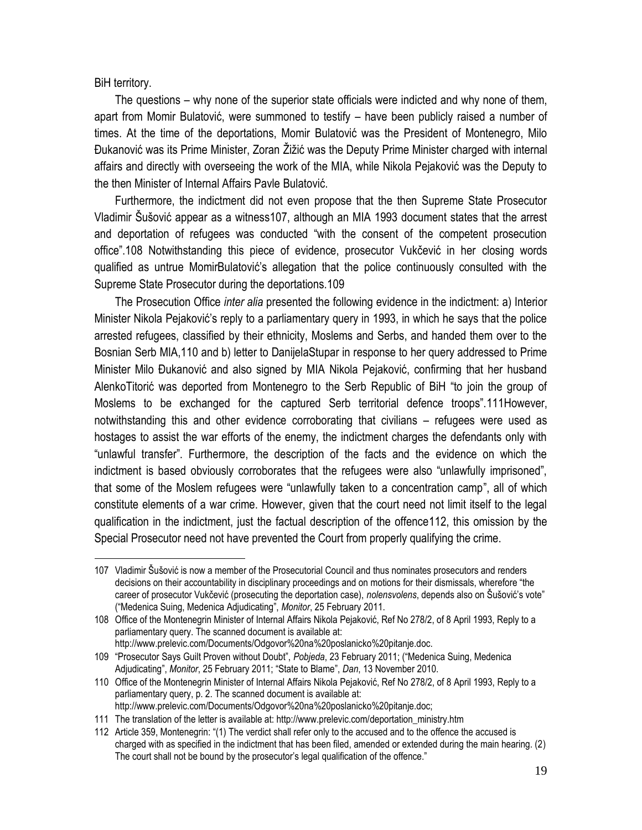BiH territory.

 $\overline{a}$ 

The questions – why none of the superior state officials were indicted and why none of them, apart from Momir Bulatović, were summoned to testify – have been publicly raised a number of times. At the time of the deportations, Momir Bulatović was the President of Montenegro, Milo Đukanović was its Prime Minister, Zoran Žižić was the Deputy Prime Minister charged with internal affairs and directly with overseeing the work of the MIA, while Nikola Pejaković was the Deputy to the then Minister of Internal Affairs Pavle Bulatović.

Furthermore, the indictment did not even propose that the then Supreme State Prosecutor Vladimir Šušović appear as a witness107, although an MIA 1993 document states that the arrest and deportation of refugees was conducted "with the consent of the competent prosecution office".108 Notwithstanding this piece of evidence, prosecutor Vukčević in her closing words qualified as untrue MomirBulatović's allegation that the police continuously consulted with the Supreme State Prosecutor during the deportations.109

The Prosecution Office *inter alia* presented the following evidence in the indictment: a) Interior Minister Nikola Pejaković's reply to a parliamentary query in 1993, in which he says that the police arrested refugees, classified by their ethnicity, Moslems and Serbs, and handed them over to the Bosnian Serb MIA,110 and b) letter to DanijelaStupar in response to her query addressed to Prime Minister Milo Đukanović and also signed by MIA Nikola Pejaković, confirming that her husband AlenkoTitorić was deported from Montenegro to the Serb Republic of BiH "to join the group of Moslems to be exchanged for the captured Serb territorial defence troops".111However, notwithstanding this and other evidence corroborating that civilians – refugees were used as hostages to assist the war efforts of the enemy, the indictment charges the defendants only with "unlawful transfer". Furthermore, the description of the facts and the evidence on which the indictment is based obviously corroborates that the refugees were also "unlawfully imprisoned", that some of the Moslem refugees were "unlawfully taken to a concentration camp", all of which constitute elements of a war crime. However, given that the court need not limit itself to the legal qualification in the indictment, just the factual description of the offence112, this omission by the Special Prosecutor need not have prevented the Court from properly qualifying the crime.

<sup>107</sup> Vladimir Šušović is now a member of the Prosecutorial Council and thus nominates prosecutors and renders decisions on their accountability in disciplinary proceedings and on motions for their dismissals, wherefore "the career of prosecutor Vukčević (prosecuting the deportation case), *nolensvolens*, depends also on Šušović's vote" ("Medenica Suing, Medenica Adjudicating", *Monitor*, 25 February 2011.

<sup>108</sup> Office of the Montenegrin Minister of Internal Affairs Nikola Pejaković, Ref No 278/2, of 8 April 1993, Reply to a parliamentary query. The scanned document is available at: http://www.prelevic.com/Documents/Odgovor%20na%20poslanicko%20pitanje.doc.

<sup>109</sup> "Prosecutor Says Guilt Proven without Doubt", *Pobjeda*, 23 February 2011; ("Medenica Suing, Medenica Adjudicating", *Monitor*, 25 February 2011; "State to Blame", *Dan*, 13 November 2010.

<sup>110</sup> Office of the Montenegrin Minister of Internal Affairs Nikola Pejaković, Ref No 278/2, of 8 April 1993, Reply to a parliamentary query, p. 2. The scanned document is available at: http://www.prelevic.com/Documents/Odgovor%20na%20poslanicko%20pitanje.doc;

<sup>111</sup> The translation of the letter is available at: http://www.prelevic.com/deportation\_ministry.htm

<sup>112</sup> Article 359, Montenegrin: "(1) The verdict shall refer only to the accused and to the offence the accused is charged with as specified in the indictment that has been filed, amended or extended during the main hearing. (2) The court shall not be bound by the prosecutor's legal qualification of the offence."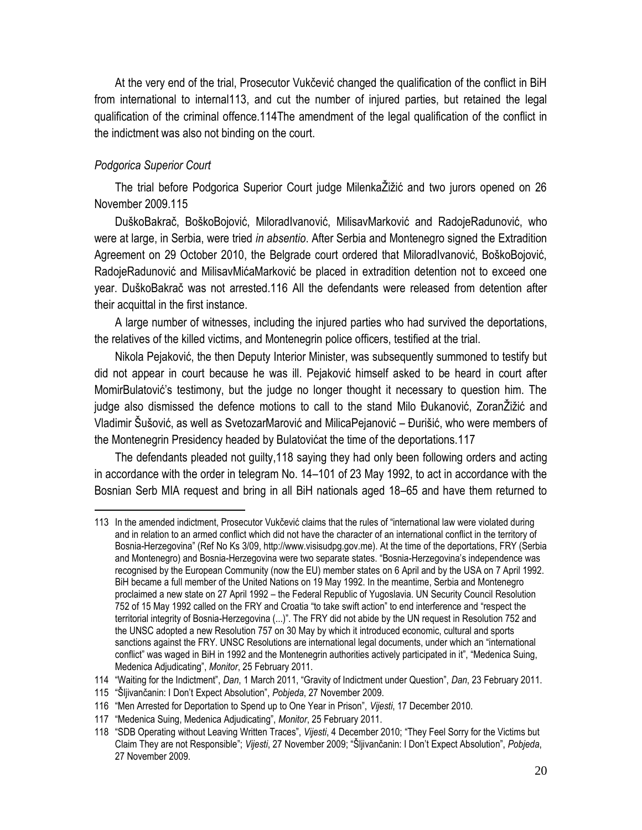At the very end of the trial, Prosecutor Vukčević changed the qualification of the conflict in BiH from international to internal113, and cut the number of injured parties, but retained the legal qualification of the criminal offence.114The amendment of the legal qualification of the conflict in the indictment was also not binding on the court.

#### *Podgorica Superior Court*

 $\overline{a}$ 

The trial before Podgorica Superior Court judge MilenkaŽižić and two jurors opened on 26 November 2009.115

DuškoBakrač, BoškoBojović, MiloradIvanović, MilisavMarković and RadojeRadunović, who were at large, in Serbia, were tried *in absentio*. After Serbia and Montenegro signed the Extradition Agreement on 29 October 2010, the Belgrade court ordered that MiloradIvanović, BoškoBojović, RadojeRadunović and MilisavMićaMarković be placed in extradition detention not to exceed one year. DuškoBakrač was not arrested.116 All the defendants were released from detention after their acquittal in the first instance.

A large number of witnesses, including the injured parties who had survived the deportations, the relatives of the killed victims, and Montenegrin police officers, testified at the trial.

Nikola Pejaković, the then Deputy Interior Minister, was subsequently summoned to testify but did not appear in court because he was ill. Pejaković himself asked to be heard in court after MomirBulatović's testimony, but the judge no longer thought it necessary to question him. The judge also dismissed the defence motions to call to the stand Milo Đukanović, ZoranŽižić and Vladimir Šušović, as well as SvetozarMarović and MilicaPejanović – Đurišić, who were members of the Montenegrin Presidency headed by Bulatovićat the time of the deportations.117

The defendants pleaded not guilty,118 saying they had only been following orders and acting in accordance with the order in telegram No. 14–101 of 23 May 1992, to act in accordance with the Bosnian Serb MIA request and bring in all BiH nationals aged 18–65 and have them returned to

<sup>113</sup> In the amended indictment, Prosecutor Vukčević claims that the rules of "international law were violated during and in relation to an armed conflict which did not have the character of an international conflict in the territory of Bosnia-Herzegovina" (Ref No Ks 3/09, http://www.visisudpg.gov.me). At the time of the deportations, FRY (Serbia and Montenegro) and Bosnia-Herzegovina were two separate states. "Bosnia-Herzegovina's independence was recognised by the European Community (now the EU) member states on 6 April and by the USA on 7 April 1992. BiH became a full member of the United Nations on 19 May 1992. In the meantime, Serbia and Montenegro proclaimed a new state on 27 April 1992 – the Federal Republic of Yugoslavia. UN Security Council Resolution 752 of 15 May 1992 called on the FRY and Croatia "to take swift action" to end interference and "respect the territorial integrity of Bosnia-Herzegovina (...)". The FRY did not abide by the UN request in Resolution 752 and the UNSC adopted a new Resolution 757 on 30 May by which it introduced economic, cultural and sports sanctions against the FRY. UNSC Resolutions are international legal documents, under which an "international conflict" was waged in BiH in 1992 and the Montenegrin authorities actively participated in it", "Medenica Suing, Medenica Adjudicating", *Monitor*, 25 February 2011.

<sup>114</sup> "Waiting for the Indictment", *Dan*, 1 March 2011, "Gravity of Indictment under Question", *Dan*, 23 February 2011.

<sup>115</sup> "Šljivančanin: I Don't Expect Absolution", *Pobjeda*, 27 November 2009.

<sup>116</sup> "Men Arrested for Deportation to Spend up to One Year in Prison", *Vijesti*, 17 December 2010.

<sup>117</sup> "Medenica Suing, Medenica Adjudicating", *Monitor*, 25 February 2011.

<sup>118</sup> "SDB Operating without Leaving Written Traces", *Vijesti*, 4 December 2010; "They Feel Sorry for the Victims but Claim They are not Responsible"; *Vijesti*, 27 November 2009; "Šljivančanin: I Don't Expect Absolution", *Pobjeda*, 27 November 2009.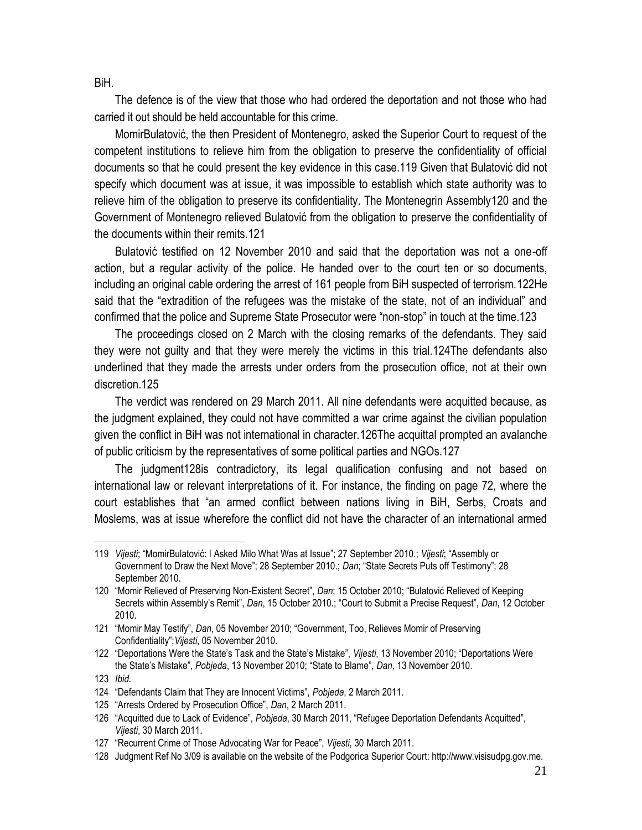BiH.

The defence is of the view that those who had ordered the deportation and not those who had carried it out should be held accountable for this crime.

MomirBulatović, the then President of Montenegro, asked the Superior Court to request of the competent institutions to relieve him from the obligation to preserve the confidentiality of official documents so that he could present the key evidence in this case.119 Given that Bulatović did not specify which document was at issue, it was impossible to establish which state authority was to relieve him of the obligation to preserve its confidentiality. The Montenegrin Assembly120 and the Government of Montenegro relieved Bulatović from the obligation to preserve the confidentiality of the documents within their remits.121

Bulatović testified on 12 November 2010 and said that the deportation was not a one-off action, but a regular activity of the police. He handed over to the court ten or so documents, including an original cable ordering the arrest of 161 people from BiH suspected of terrorism.122He said that the "extradition of the refugees was the mistake of the state, not of an individual" and confirmed that the police and Supreme State Prosecutor were "non-stop" in touch at the time.123

The proceedings closed on 2 March with the closing remarks of the defendants. They said they were not guilty and that they were merely the victims in this trial.124The defendants also underlined that they made the arrests under orders from the prosecution office, not at their own discretion.125

The verdict was rendered on 29 March 2011. All nine defendants were acquitted because, as the judgment explained, they could not have committed a war crime against the civilian population given the conflict in BiH was not international in character.126The acquittal prompted an avalanche of public criticism by the representatives of some political parties and NGOs.127

The judgment128is contradictory, its legal qualification confusing and not based on international law or relevant interpretations of it. For instance, the finding on page 72, where the court establishes that "an armed conflict between nations living in BiH, Serbs, Croats and Moslems, was at issue wherefore the conflict did not have the character of an international armed

<sup>119</sup> *Vijesti*; "MomirBulatović: I Asked Milo What Was at Issue"; 27 September 2010.; *Vijesti*; "Assembly or Government to Draw the Next Move"; 28 September 2010.; *Dan*; "State Secrets Puts off Testimony"; 28 September 2010.

<sup>120</sup> "Momir Relieved of Preserving Non-Existent Secret", *Dan*; 15 October 2010; "Bulatović Relieved of Keeping Secrets within Assembly's Remit", *Dan*, 15 October 2010.; "Court to Submit a Precise Request", *Dan*, 12 October 2010.

<sup>121</sup> "Momir May Testify", *Dan*, 05 November 2010; "Government, Too, Relieves Momir of Preserving Confidentiality";*Vijesti*, 05 November 2010.

<sup>122</sup> "Deportations Were the State's Task and the State's Mistake", *Vijesti*, 13 November 2010; "Deportations Were the State's Mistake", *Pobjeda*, 13 November 2010; "State to Blame", *Dan*, 13 November 2010.

<sup>123</sup> *Ibid.*

<sup>124</sup> "Defendants Claim that They are Innocent Victims", *Pobjeda*, 2 March 2011.

<sup>125</sup> "Arrests Ordered by Prosecution Office", *Dan*, 2 March 2011.

<sup>126</sup> "Acquitted due to Lack of Evidence", *Pobjeda*, 30 March 2011, "Refugee Deportation Defendants Acquitted", *Vijesti*, 30 March 2011.

<sup>127</sup> "Recurrent Crime of Those Advocating War for Peace", *Vijesti*, 30 March 2011.

<sup>128</sup> Judgment Ref No 3/09 is available on the website of the Podgorica Superior Court: http://www.visisudpg.gov.me.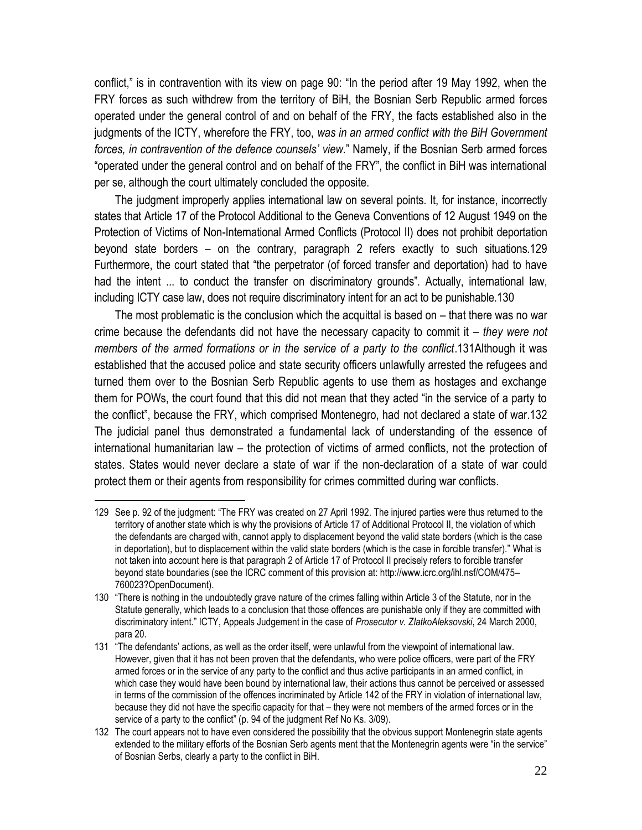conflict," is in contravention with its view on page 90: "In the period after 19 May 1992, when the FRY forces as such withdrew from the territory of BiH, the Bosnian Serb Republic armed forces operated under the general control of and on behalf of the FRY, the facts established also in the judgments of the ICTY, wherefore the FRY, too, *was in an armed conflict with the BiH Government forces, in contravention of the defence counsels' view.*" Namely, if the Bosnian Serb armed forces "operated under the general control and on behalf of the FRY", the conflict in BiH was international per se, although the court ultimately concluded the opposite.

The judgment improperly applies international law on several points. It, for instance, incorrectly states that Article 17 of the Protocol Additional to the Geneva Conventions of 12 August 1949 on the Protection of Victims of Non-International Armed Conflicts (Protocol II) does not prohibit deportation beyond state borders – on the contrary, paragraph 2 refers exactly to such situations.129 Furthermore, the court stated that "the perpetrator (of forced transfer and deportation) had to have had the intent ... to conduct the transfer on discriminatory grounds". Actually, international law, including ICTY case law, does not require discriminatory intent for an act to be punishable.130

The most problematic is the conclusion which the acquittal is based on – that there was no war crime because the defendants did not have the necessary capacity to commit it – *they were not members of the armed formations or in the service of a party to the conflict*.131Although it was established that the accused police and state security officers unlawfully arrested the refugees and turned them over to the Bosnian Serb Republic agents to use them as hostages and exchange them for POWs, the court found that this did not mean that they acted "in the service of a party to the conflict", because the FRY, which comprised Montenegro, had not declared a state of war.132 The judicial panel thus demonstrated a fundamental lack of understanding of the essence of international humanitarian law – the protection of victims of armed conflicts, not the protection of states. States would never declare a state of war if the non-declaration of a state of war could protect them or their agents from responsibility for crimes committed during war conflicts.

<sup>129</sup> See p. 92 of the judgment: "The FRY was created on 27 April 1992. The injured parties were thus returned to the territory of another state which is why the provisions of Article 17 of Additional Protocol II, the violation of which the defendants are charged with, cannot apply to displacement beyond the valid state borders (which is the case in deportation), but to displacement within the valid state borders (which is the case in forcible transfer)." What is not taken into account here is that paragraph 2 of Article 17 of Protocol II precisely refers to forcible transfer beyond state boundaries (see the ICRC comment of this provision at: http://www.icrc.org/ihl.nsf/COM/475– 760023?OpenDocument).

<sup>130</sup> "There is nothing in the undoubtedly grave nature of the crimes falling within Article 3 of the Statute, nor in the Statute generally, which leads to a conclusion that those offences are punishable only if they are committed with discriminatory intent." ICTY, Appeals Judgement in the case of *Prosecutor v. ZlatkoAleksovski*, 24 March 2000, para 20.

<sup>131</sup> "The defendants' actions, as well as the order itself, were unlawful from the viewpoint of international law. However, given that it has not been proven that the defendants, who were police officers, were part of the FRY armed forces or in the service of any party to the conflict and thus active participants in an armed conflict, in which case they would have been bound by international law, their actions thus cannot be perceived or assessed in terms of the commission of the offences incriminated by Article 142 of the FRY in violation of international law, because they did not have the specific capacity for that – they were not members of the armed forces or in the service of a party to the conflict" (p. 94 of the judgment Ref No Ks. 3/09).

<sup>132</sup> The court appears not to have even considered the possibility that the obvious support Montenegrin state agents extended to the military efforts of the Bosnian Serb agents ment that the Montenegrin agents were "in the service" of Bosnian Serbs, clearly a party to the conflict in BiH.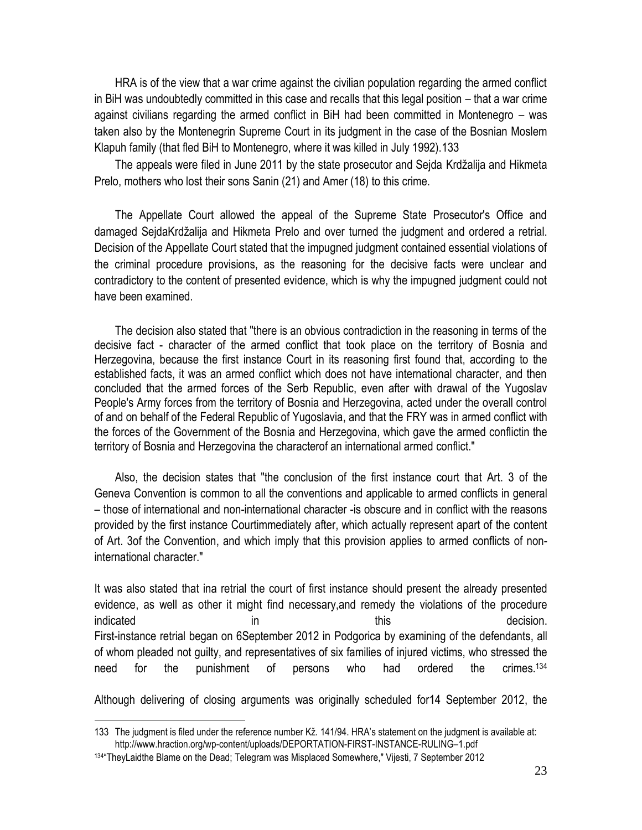HRA is of the view that a war crime against the civilian population regarding the armed conflict in BiH was undoubtedly committed in this case and recalls that this legal position – that a war crime against civilians regarding the armed conflict in BiH had been committed in Montenegro – was taken also by the Montenegrin Supreme Court in its judgment in the case of the Bosnian Moslem Klapuh family (that fled BiH to Montenegro, where it was killed in July 1992).133

The appeals were filed in June 2011 by the state prosecutor and Sejda Krdžalija and Hikmeta Prelo, mothers who lost their sons Sanin (21) and Amer (18) to this crime.

The Appellate Court allowed the appeal of the Supreme State Prosecutor's Office and damaged SejdaKrdžalija and Hikmeta Prelo and over turned the judgment and ordered a retrial. Decision of the Appellate Court stated that the impugned judgment contained essential violations of the criminal procedure provisions, as the reasoning for the decisive facts were unclear and contradictory to the content of presented evidence, which is why the impugned judgment could not have been examined.

The decision also stated that "there is an obvious contradiction in the reasoning in terms of the decisive fact - character of the armed conflict that took place on the territory of Bosnia and Herzegovina, because the first instance Court in its reasoning first found that, according to the established facts, it was an armed conflict which does not have international character, and then concluded that the armed forces of the Serb Republic, even after with drawal of the Yugoslav People's Army forces from the territory of Bosnia and Herzegovina, acted under the overall control of and on behalf of the Federal Republic of Yugoslavia, and that the FRY was in armed conflict with the forces of the Government of the Bosnia and Herzegovina, which gave the armed conflictin the territory of Bosnia and Herzegovina the characterof an international armed conflict."

Also, the decision states that "the conclusion of the first instance court that Art. 3 of the Geneva Convention is common to all the conventions and applicable to armed conflicts in general – those of international and non-international character -is obscure and in conflict with the reasons provided by the first instance Courtimmediately after, which actually represent apart of the content of Art. 3of the Convention, and which imply that this provision applies to armed conflicts of noninternational character."

It was also stated that ina retrial the court of first instance should present the already presented evidence, as well as other it might find necessary,and remedy the violations of the procedure indicated in this this decision. First-instance retrial began on 6September 2012 in Podgorica by examining of the defendants, all of whom pleaded not guilty, and representatives of six families of injured victims, who stressed the need for the punishment of persons who had ordered the crimes.<sup>134</sup>

Although delivering of closing arguments was originally scheduled for14 September 2012, the

<sup>133</sup> The judgment is filed under the reference number Kž. 141/94. HRA's statement on the judgment is available at: http://www.hraction.org/wp-content/uploads/DEPORTATION-FIRST-INSTANCE-RULING–1.pdf

<sup>134</sup> "TheyLaidthe Blame on the Dead; Telegram was Misplaced Somewhere," Vijesti, 7 September 2012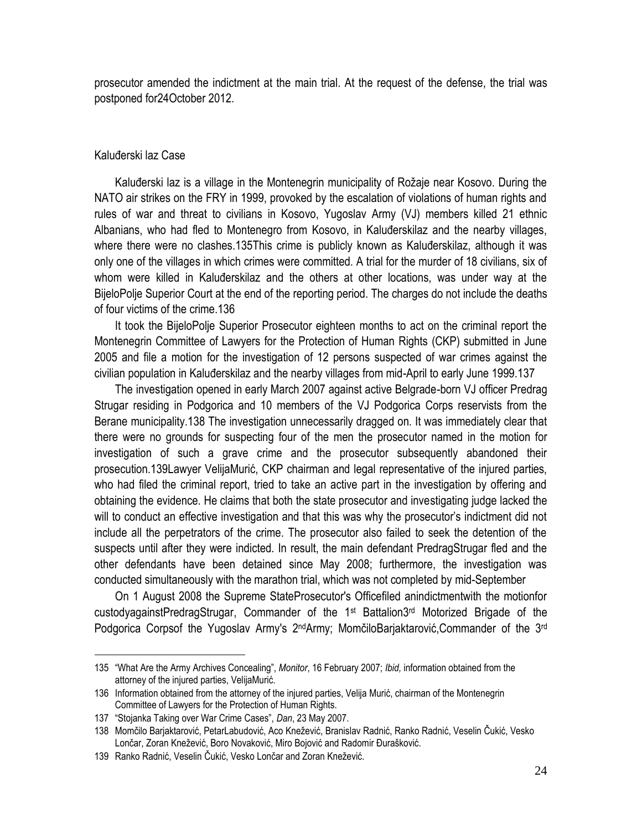prosecutor amended the indictment at the main trial. At the request of the defense, the trial was postponed for24October 2012.

#### Kaluđerski laz Case

Kaluđerski laz is a village in the Montenegrin municipality of Rožaje near Kosovo. During the NATO air strikes on the FRY in 1999, provoked by the escalation of violations of human rights and rules of war and threat to civilians in Kosovo, Yugoslav Army (VJ) members killed 21 ethnic Albanians, who had fled to Montenegro from Kosovo, in Kaluđerskilaz and the nearby villages, where there were no clashes.135This crime is publicly known as Kaluđerskilaz, although it was only one of the villages in which crimes were committed. A trial for the murder of 18 civilians, six of whom were killed in Kaluđerskilaz and the others at other locations, was under way at the BijeloPolje Superior Court at the end of the reporting period. The charges do not include the deaths of four victims of the crime.136

It took the BijeloPolje Superior Prosecutor eighteen months to act on the criminal report the Montenegrin Committee of Lawyers for the Protection of Human Rights (CKP) submitted in June 2005 and file a motion for the investigation of 12 persons suspected of war crimes against the civilian population in Kaluđerskilaz and the nearby villages from mid-April to early June 1999.137

The investigation opened in early March 2007 against active Belgrade-born VJ officer Predrag Strugar residing in Podgorica and 10 members of the VJ Podgorica Corps reservists from the Berane municipality.138 The investigation unnecessarily dragged on. It was immediately clear that there were no grounds for suspecting four of the men the prosecutor named in the motion for investigation of such a grave crime and the prosecutor subsequently abandoned their prosecution.139Lawyer VelijaMurić, CKP chairman and legal representative of the injured parties, who had filed the criminal report, tried to take an active part in the investigation by offering and obtaining the evidence. He claims that both the state prosecutor and investigating judge lacked the will to conduct an effective investigation and that this was why the prosecutor's indictment did not include all the perpetrators of the crime. The prosecutor also failed to seek the detention of the suspects until after they were indicted. In result, the main defendant PredragStrugar fled and the other defendants have been detained since May 2008; furthermore, the investigation was conducted simultaneously with the marathon trial, which was not completed by mid-September

On 1 August 2008 the Supreme StateProsecutor's Officefiled anindictmentwith the motionfor custodyagainstPredragStrugar, Commander of the 1st Battalion3rd Motorized Brigade of the Podgorica Corpsof the Yugoslav Army's 2<sup>nd</sup>Army; MomčiloBarjaktarović,Commander of the 3<sup>rd</sup>

<sup>135</sup> "What Are the Army Archives Concealing", *Monitor*, 16 February 2007; *Ibid,* information obtained from the attorney of the injured parties, VelijaMurić.

<sup>136</sup> Information obtained from the attorney of the injured parties, Velija Murić, chairman of the Montenegrin Committee of Lawyers for the Protection of Human Rights.

<sup>137</sup> "Stojanka Taking over War Crime Cases", *Dan*, 23 May 2007.

<sup>138</sup> Momčilo Barjaktarović, PetarLabudović, Aco Knežević, Branislav Radnić, Ranko Radnić, Veselin Čukić, Vesko Lončar, Zoran Knežević, Boro Novaković, Miro Bojović and Radomir Đurašković.

<sup>139</sup> Ranko Radnić, Veselin Čukić, Vesko Lončar and Zoran Knežević.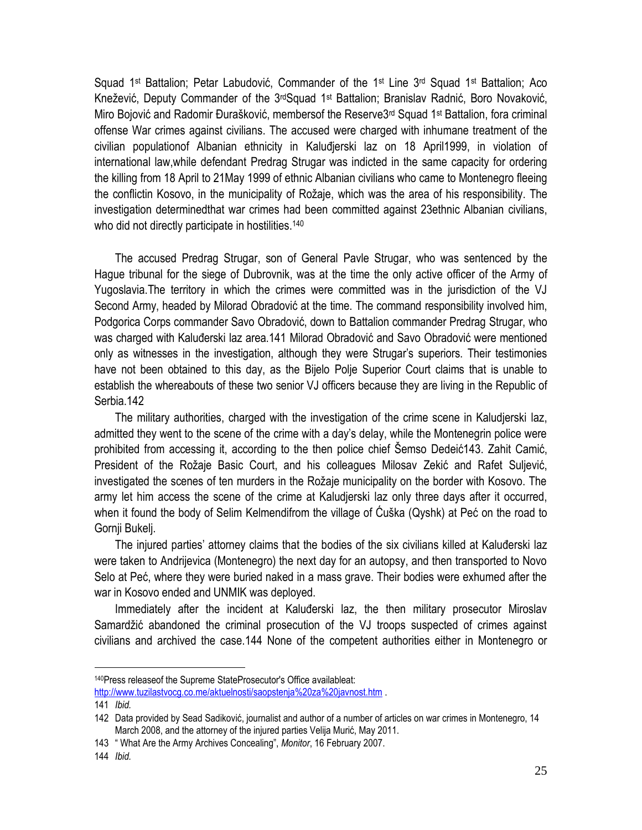Squad 1<sup>st</sup> Battalion; Petar Labudović, Commander of the 1<sup>st</sup> Line 3<sup>rd</sup> Squad 1<sup>st</sup> Battalion; Aco Knežević, Deputy Commander of the 3rdSquad 1st Battalion; Branislav Radnić, Boro Novaković, Miro Bojović and Radomir Đurašković, membersof the Reserve3rd Squad 1st Battalion, fora criminal offense War crimes against civilians. The accused were charged with inhumane treatment of the civilian populationof Albanian ethnicity in Kaluđjerski laz on 18 April1999, in violation of international law,while defendant Predrag Strugar was indicted in the same capacity for ordering the killing from 18 April to 21May 1999 of ethnic Albanian civilians who came to Montenegro fleeing the conflictin Kosovo, in the municipality of Rožaje, which was the area of his responsibility. The investigation determinedthat war crimes had been committed against 23ethnic Albanian civilians, who did not directly participate in hostilities.<sup>140</sup>

The accused Predrag Strugar, son of General Pavle Strugar, who was sentenced by the Hague tribunal for the siege of Dubrovnik, was at the time the only active officer of the Army of Yugoslavia.The territory in which the crimes were committed was in the jurisdiction of the VJ Second Army, headed by Milorad Obradović at the time. The command responsibility involved him, Podgorica Corps commander Savo Obradović, down to Battalion commander Predrag Strugar, who was charged with Kaluđerski laz area.141 Milorad Obradović and Savo Obradović were mentioned only as witnesses in the investigation, although they were Strugar's superiors. Their testimonies have not been obtained to this day, as the Bijelo Polje Superior Court claims that is unable to establish the whereabouts of these two senior VJ officers because they are living in the Republic of Serbia.142

The military authorities, charged with the investigation of the crime scene in Kaludjerski laz, admitted they went to the scene of the crime with a day's delay, while the Montenegrin police were prohibited from accessing it, according to the then police chief Šemso Dedeić143. Zahit Camić, President of the Rožaje Basic Court, and his colleagues Milosav Zekić and Rafet Suljević, investigated the scenes of ten murders in the Rožaje municipality on the border with Kosovo. The army let him access the scene of the crime at Kaludjerski laz only three days after it occurred, when it found the body of Selim Kelmendifrom the village of Ćuška (Qyshk) at Peć on the road to Gornji Bukelj.

The injured parties' attorney claims that the bodies of the six civilians killed at Kaluđerski laz were taken to Andrijevica (Montenegro) the next day for an autopsy, and then transported to Novo Selo at Peć, where they were buried naked in a mass grave. Their bodies were exhumed after the war in Kosovo ended and UNMIK was deployed.

Immediately after the incident at Kaluđerski laz, the then military prosecutor Miroslav Samardžić abandoned the criminal prosecution of the VJ troops suspected of crimes against civilians and archived the case.144 None of the competent authorities either in Montenegro or

<sup>140</sup> Press releaseof the Supreme State Prosecutor's Office availableat:

<http://www.tuzilastvocg.co.me/aktuelnosti/saopstenja%20za%20javnost.htm> .

<sup>141</sup> *Ibid.*

<sup>142</sup> Data provided by Sead Sadiković, journalist and author of a number of articles on war crimes in Montenegro, 14 March 2008, and the attorney of the injured parties Velija Murić, May 2011.

<sup>143</sup> " What Are the Army Archives Concealing", *Monitor*, 16 February 2007.

<sup>144</sup> *Ibid.*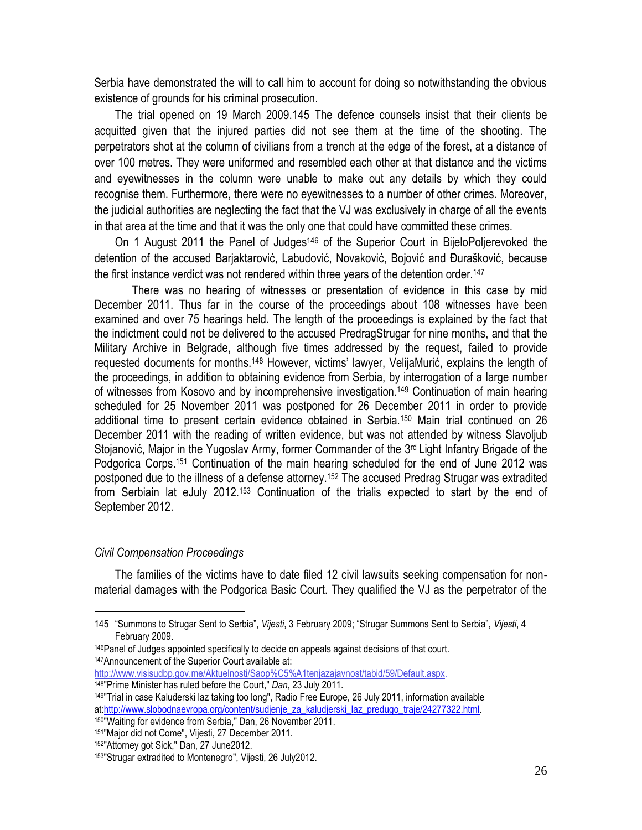Serbia have demonstrated the will to call him to account for doing so notwithstanding the obvious existence of grounds for his criminal prosecution.

The trial opened on 19 March 2009.145 The defence counsels insist that their clients be acquitted given that the injured parties did not see them at the time of the shooting. The perpetrators shot at the column of civilians from a trench at the edge of the forest, at a distance of over 100 metres. They were uniformed and resembled each other at that distance and the victims and eyewitnesses in the column were unable to make out any details by which they could recognise them. Furthermore, there were no eyewitnesses to a number of other crimes. Moreover, the judicial authorities are neglecting the fact that the VJ was exclusively in charge of all the events in that area at the time and that it was the only one that could have committed these crimes.

On 1 August 2011 the Panel of Judges<sup>146</sup> of the Superior Court in BijeloPoljerevoked the detention of the accused Barjaktarović, Labudović, Novaković, Bojović and Đurašković, because the first instance verdict was not rendered within three years of the detention order. 147

There was no hearing of witnesses or presentation of evidence in this case by mid December 2011. Thus far in the course of the proceedings about 108 witnesses have been examined and over 75 hearings held. The length of the proceedings is explained by the fact that the indictment could not be delivered to the accused PredragStrugar for nine months, and that the Military Archive in Belgrade, although five times addressed by the request, failed to provide requested documents for months.<sup>148</sup> However, victims' lawyer, VelijaMurić, explains the length of the proceedings, in addition to obtaining evidence from Serbia, by interrogation of a large number of witnesses from Kosovo and by incomprehensive investigation. <sup>149</sup> Continuation of main hearing scheduled for 25 November 2011 was postponed for 26 December 2011 in order to provide additional time to present certain evidence obtained in Serbia.<sup>150</sup> Main trial continued on 26 December 2011 with the reading of written evidence, but was not attended by witness Slavoljub Stojanović, Major in the Yugoslav Army, former Commander of the 3rd Light Infantry Brigade of the Podgorica Corps.<sup>151</sup> Continuation of the main hearing scheduled for the end of June 2012 was postponed due to the illness of a defense attorney.<sup>152</sup> The accused Predrag Strugar was extradited from Serbiain lat eJuly 2012.<sup>153</sup> Continuation of the trialis expected to start by the end of September 2012.

#### *Civil Compensation Proceedings*

 $\overline{a}$ 

The families of the victims have to date filed 12 civil lawsuits seeking compensation for nonmaterial damages with the Podgorica Basic Court. They qualified the VJ as the perpetrator of the

<sup>145</sup> "Summons to Strugar Sent to Serbia", *Vijesti*, 3 February 2009; "Strugar Summons Sent to Serbia", *Vijesti*, 4 February 2009.

<sup>146</sup>Panel of Judges appointed specifically to decide on appeals against decisions of that court. <sup>147</sup>Announcement of the Superior Court available at:

[http://www.visisudbp.gov.me/Aktuelnosti/Saop%C5%A1tenjazajavnost/tabid/59/Default.aspx.](http://www.visisudbp.gov.me/Aktuelnosti/Saop%C5%A1tenjazajavnost/tabid/59/Default.aspx)  <sup>148</sup>"Prime Minister has ruled before the Court," *Dan*, 23 July 2011.

<sup>149</sup>"Trial in case Kaluđerski laz taking too long", Radio Free Europe, 26 July 2011, information available at[:http://www.slobodnaevropa.org/content/sudjenje\\_za\\_kaludjerski\\_laz\\_predugo\\_traje/24277322.html.](http://www.slobodnaevropa.org/content/sudjenje_za_kaludjerski_laz_predugo_traje/24277322.html) <sup>150</sup>"Waiting for evidence from Serbia," Dan, 26 November 2011.

<sup>151</sup> "Major did not Come", Vijesti, 27 December 2011.

<sup>152</sup> "Attorney got Sick," Dan, 27 June2012.

<sup>153</sup> "Strugar extradited to Montenegro", Vijesti, 26 July2012.